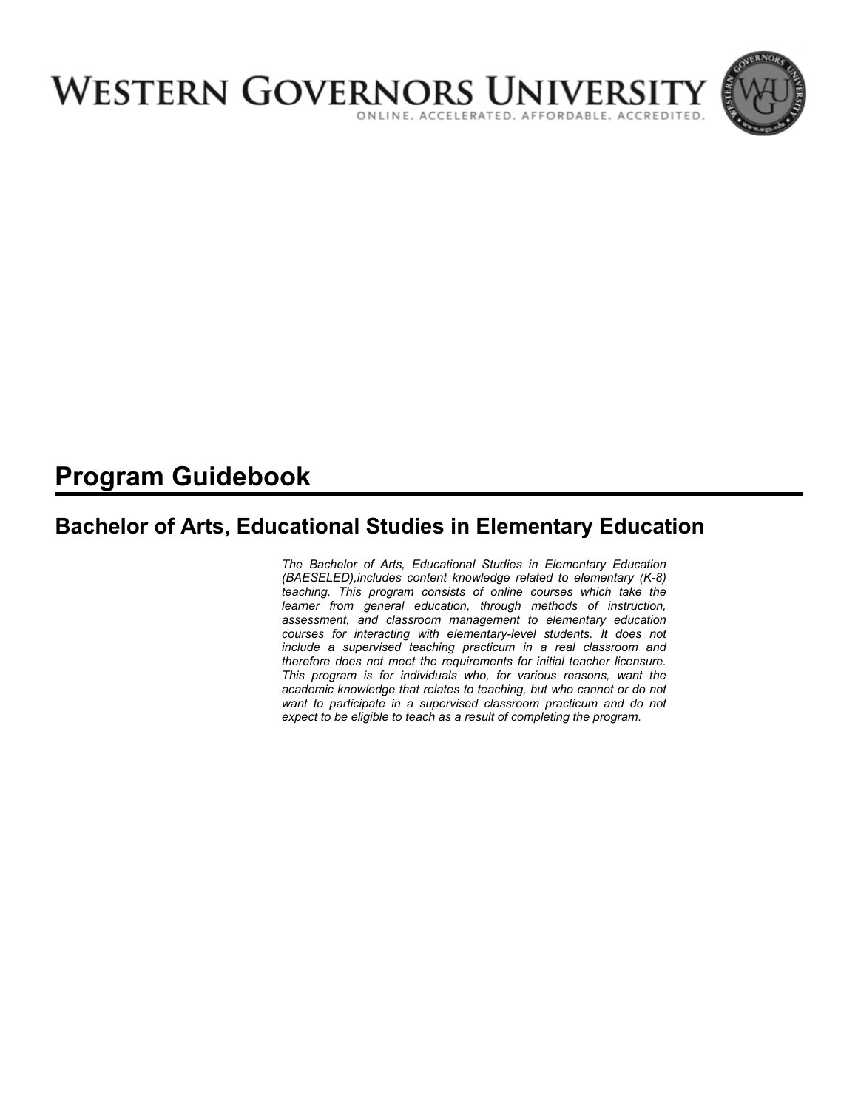

# **Program Guidebook**

## **Bachelor of Arts, Educational Studies in Elementary Education**

*The Bachelor of Arts, Educational Studies in Elementary Education (BAESELED),includes content knowledge related to elementary (K-8) teaching. This program consists of online courses which take the learner from general education, through methods of instruction, assessment, and classroom management to elementary education courses for interacting with elementary-level students. It does not include a supervised teaching practicum in a real classroom and therefore does not meet the requirements for initial teacher licensure. This program is for individuals who, for various reasons, want the academic knowledge that relates to teaching, but who cannot or do not want to participate in a supervised classroom practicum and do not expect to be eligible to teach as a result of completing the program.*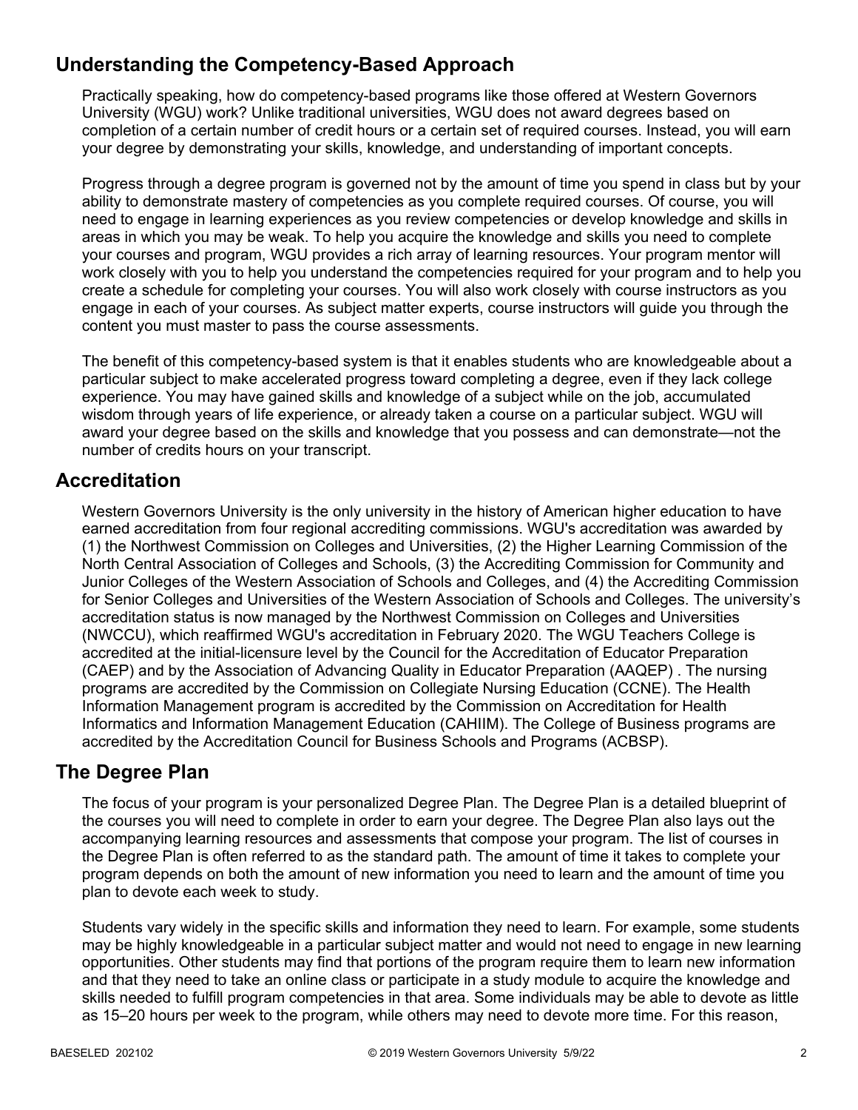## **Understanding the Competency-Based Approach**

Practically speaking, how do competency-based programs like those offered at Western Governors University (WGU) work? Unlike traditional universities, WGU does not award degrees based on completion of a certain number of credit hours or a certain set of required courses. Instead, you will earn your degree by demonstrating your skills, knowledge, and understanding of important concepts.

Progress through a degree program is governed not by the amount of time you spend in class but by your ability to demonstrate mastery of competencies as you complete required courses. Of course, you will need to engage in learning experiences as you review competencies or develop knowledge and skills in areas in which you may be weak. To help you acquire the knowledge and skills you need to complete your courses and program, WGU provides a rich array of learning resources. Your program mentor will work closely with you to help you understand the competencies required for your program and to help you create a schedule for completing your courses. You will also work closely with course instructors as you engage in each of your courses. As subject matter experts, course instructors will guide you through the content you must master to pass the course assessments.

The benefit of this competency-based system is that it enables students who are knowledgeable about a particular subject to make accelerated progress toward completing a degree, even if they lack college experience. You may have gained skills and knowledge of a subject while on the job, accumulated wisdom through years of life experience, or already taken a course on a particular subject. WGU will award your degree based on the skills and knowledge that you possess and can demonstrate—not the number of credits hours on your transcript.

## **Accreditation**

Western Governors University is the only university in the history of American higher education to have earned accreditation from four regional accrediting commissions. WGU's accreditation was awarded by (1) the Northwest Commission on Colleges and Universities, (2) the Higher Learning Commission of the North Central Association of Colleges and Schools, (3) the Accrediting Commission for Community and Junior Colleges of the Western Association of Schools and Colleges, and (4) the Accrediting Commission for Senior Colleges and Universities of the Western Association of Schools and Colleges. The university's accreditation status is now managed by the Northwest Commission on Colleges and Universities (NWCCU), which reaffirmed WGU's accreditation in February 2020. The WGU Teachers College is accredited at the initial-licensure level by the Council for the Accreditation of Educator Preparation (CAEP) and by the Association of Advancing Quality in Educator Preparation (AAQEP) . The nursing programs are accredited by the Commission on Collegiate Nursing Education (CCNE). The Health Information Management program is accredited by the Commission on Accreditation for Health Informatics and Information Management Education (CAHIIM). The College of Business programs are accredited by the Accreditation Council for Business Schools and Programs (ACBSP).

## **The Degree Plan**

The focus of your program is your personalized Degree Plan. The Degree Plan is a detailed blueprint of the courses you will need to complete in order to earn your degree. The Degree Plan also lays out the accompanying learning resources and assessments that compose your program. The list of courses in the Degree Plan is often referred to as the standard path. The amount of time it takes to complete your program depends on both the amount of new information you need to learn and the amount of time you plan to devote each week to study.

Students vary widely in the specific skills and information they need to learn. For example, some students may be highly knowledgeable in a particular subject matter and would not need to engage in new learning opportunities. Other students may find that portions of the program require them to learn new information and that they need to take an online class or participate in a study module to acquire the knowledge and skills needed to fulfill program competencies in that area. Some individuals may be able to devote as little as 15–20 hours per week to the program, while others may need to devote more time. For this reason,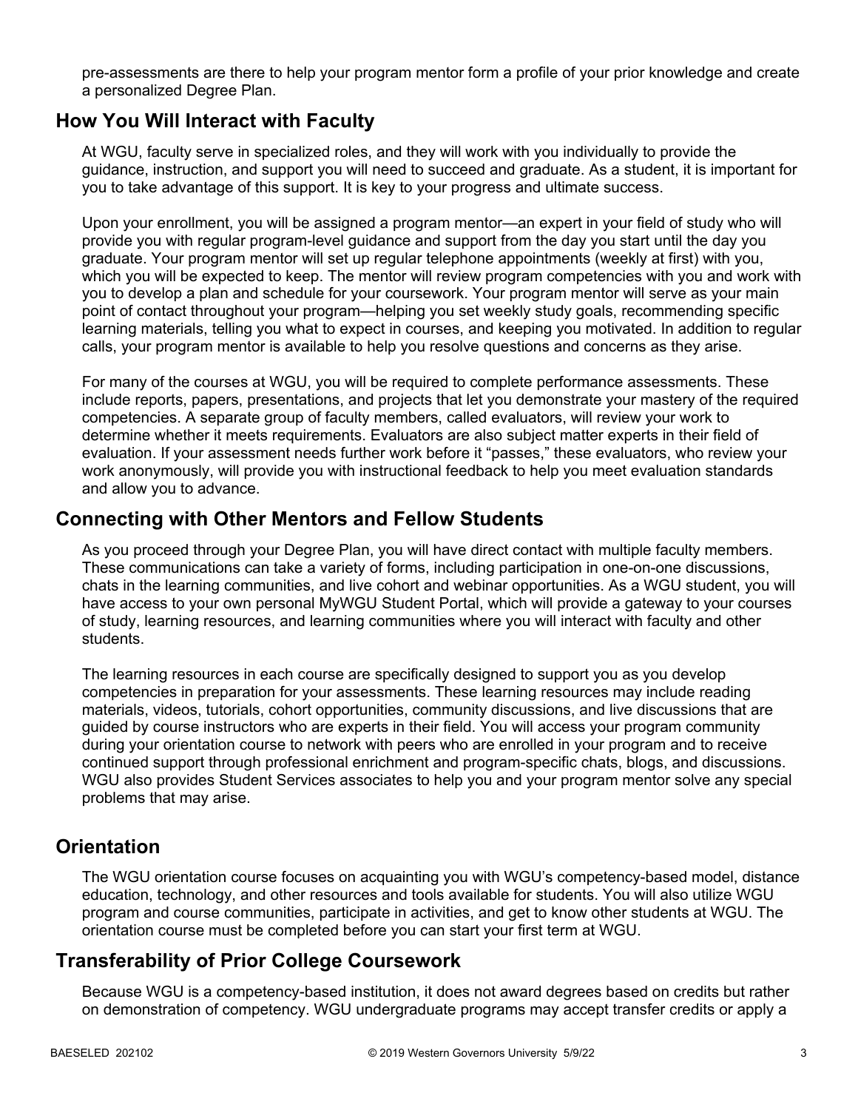pre-assessments are there to help your program mentor form a profile of your prior knowledge and create a personalized Degree Plan.

### **How You Will Interact with Faculty**

At WGU, faculty serve in specialized roles, and they will work with you individually to provide the guidance, instruction, and support you will need to succeed and graduate. As a student, it is important for you to take advantage of this support. It is key to your progress and ultimate success.

Upon your enrollment, you will be assigned a program mentor—an expert in your field of study who will provide you with regular program-level guidance and support from the day you start until the day you graduate. Your program mentor will set up regular telephone appointments (weekly at first) with you, which you will be expected to keep. The mentor will review program competencies with you and work with you to develop a plan and schedule for your coursework. Your program mentor will serve as your main point of contact throughout your program—helping you set weekly study goals, recommending specific learning materials, telling you what to expect in courses, and keeping you motivated. In addition to regular calls, your program mentor is available to help you resolve questions and concerns as they arise.

For many of the courses at WGU, you will be required to complete performance assessments. These include reports, papers, presentations, and projects that let you demonstrate your mastery of the required competencies. A separate group of faculty members, called evaluators, will review your work to determine whether it meets requirements. Evaluators are also subject matter experts in their field of evaluation. If your assessment needs further work before it "passes," these evaluators, who review your work anonymously, will provide you with instructional feedback to help you meet evaluation standards and allow you to advance.

### **Connecting with Other Mentors and Fellow Students**

As you proceed through your Degree Plan, you will have direct contact with multiple faculty members. These communications can take a variety of forms, including participation in one-on-one discussions, chats in the learning communities, and live cohort and webinar opportunities. As a WGU student, you will have access to your own personal MyWGU Student Portal, which will provide a gateway to your courses of study, learning resources, and learning communities where you will interact with faculty and other students.

The learning resources in each course are specifically designed to support you as you develop competencies in preparation for your assessments. These learning resources may include reading materials, videos, tutorials, cohort opportunities, community discussions, and live discussions that are guided by course instructors who are experts in their field. You will access your program community during your orientation course to network with peers who are enrolled in your program and to receive continued support through professional enrichment and program-specific chats, blogs, and discussions. WGU also provides Student Services associates to help you and your program mentor solve any special problems that may arise.

## **Orientation**

The WGU orientation course focuses on acquainting you with WGU's competency-based model, distance education, technology, and other resources and tools available for students. You will also utilize WGU program and course communities, participate in activities, and get to know other students at WGU. The orientation course must be completed before you can start your first term at WGU.

## **Transferability of Prior College Coursework**

Because WGU is a competency-based institution, it does not award degrees based on credits but rather on demonstration of competency. WGU undergraduate programs may accept transfer credits or apply a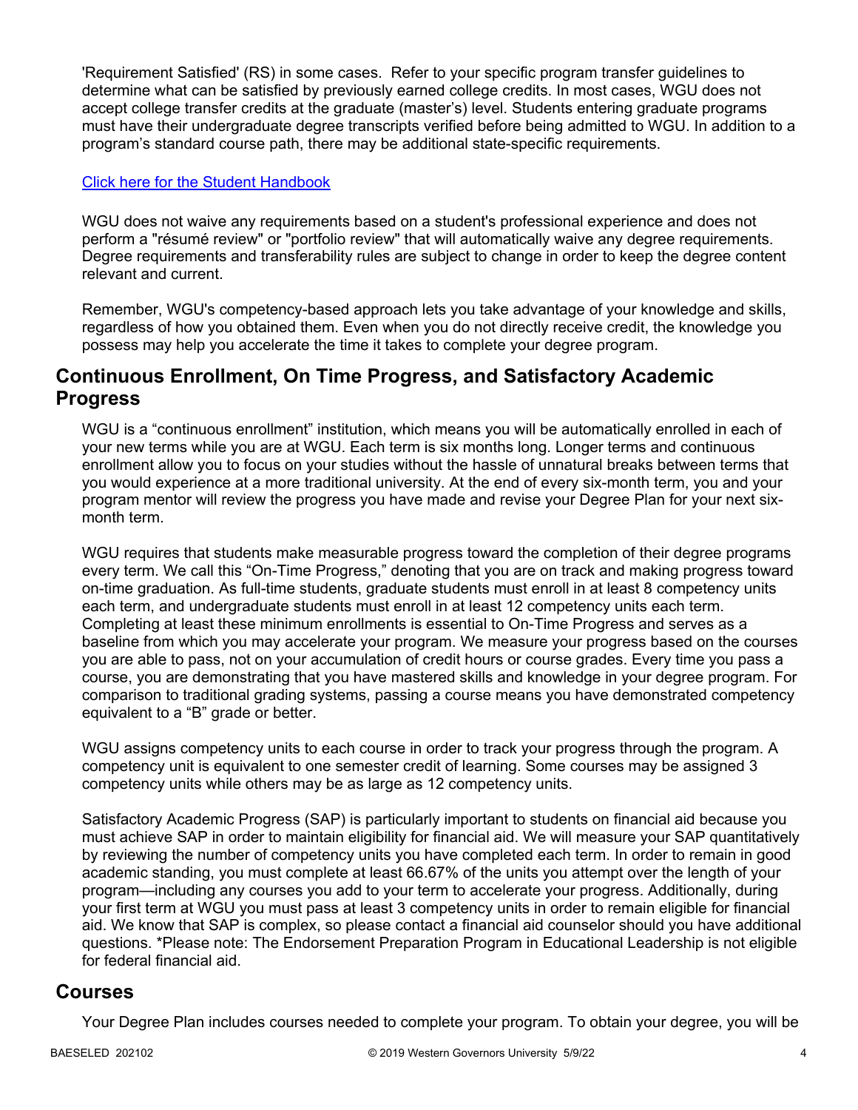'Requirement Satisfied' (RS) in some cases. Refer to your specific program transfer guidelines to determine what can be satisfied by previously earned college credits. In most cases, WGU does not accept college transfer credits at the graduate (master's) level. Students entering graduate programs must have their undergraduate degree transcripts verified before being admitted to WGU. In addition to a program's standard course path, there may be additional state-specific requirements.

#### [Click here for the Student Handbook](http://cm.wgu.edu/)

WGU does not waive any requirements based on a student's professional experience and does not perform a "résumé review" or "portfolio review" that will automatically waive any degree requirements. Degree requirements and transferability rules are subject to change in order to keep the degree content relevant and current.

Remember, WGU's competency-based approach lets you take advantage of your knowledge and skills, regardless of how you obtained them. Even when you do not directly receive credit, the knowledge you possess may help you accelerate the time it takes to complete your degree program.

### **Continuous Enrollment, On Time Progress, and Satisfactory Academic Progress**

WGU is a "continuous enrollment" institution, which means you will be automatically enrolled in each of your new terms while you are at WGU. Each term is six months long. Longer terms and continuous enrollment allow you to focus on your studies without the hassle of unnatural breaks between terms that you would experience at a more traditional university. At the end of every six-month term, you and your program mentor will review the progress you have made and revise your Degree Plan for your next sixmonth term.

WGU requires that students make measurable progress toward the completion of their degree programs every term. We call this "On-Time Progress," denoting that you are on track and making progress toward on-time graduation. As full-time students, graduate students must enroll in at least 8 competency units each term, and undergraduate students must enroll in at least 12 competency units each term. Completing at least these minimum enrollments is essential to On-Time Progress and serves as a baseline from which you may accelerate your program. We measure your progress based on the courses you are able to pass, not on your accumulation of credit hours or course grades. Every time you pass a course, you are demonstrating that you have mastered skills and knowledge in your degree program. For comparison to traditional grading systems, passing a course means you have demonstrated competency equivalent to a "B" grade or better.

WGU assigns competency units to each course in order to track your progress through the program. A competency unit is equivalent to one semester credit of learning. Some courses may be assigned 3 competency units while others may be as large as 12 competency units.

Satisfactory Academic Progress (SAP) is particularly important to students on financial aid because you must achieve SAP in order to maintain eligibility for financial aid. We will measure your SAP quantitatively by reviewing the number of competency units you have completed each term. In order to remain in good academic standing, you must complete at least 66.67% of the units you attempt over the length of your program—including any courses you add to your term to accelerate your progress. Additionally, during your first term at WGU you must pass at least 3 competency units in order to remain eligible for financial aid. We know that SAP is complex, so please contact a financial aid counselor should you have additional questions. \*Please note: The Endorsement Preparation Program in Educational Leadership is not eligible for federal financial aid.

### **Courses**

Your Degree Plan includes courses needed to complete your program. To obtain your degree, you will be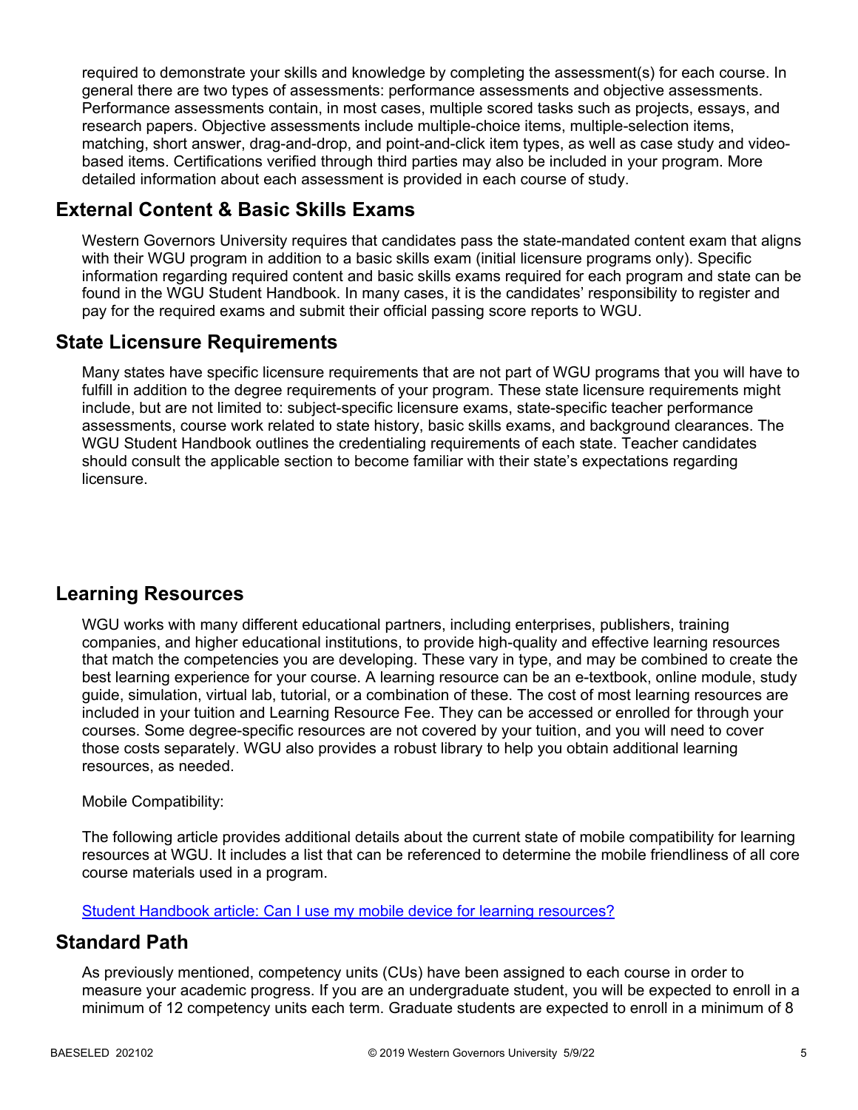required to demonstrate your skills and knowledge by completing the assessment(s) for each course. In general there are two types of assessments: performance assessments and objective assessments. Performance assessments contain, in most cases, multiple scored tasks such as projects, essays, and research papers. Objective assessments include multiple-choice items, multiple-selection items, matching, short answer, drag-and-drop, and point-and-click item types, as well as case study and videobased items. Certifications verified through third parties may also be included in your program. More detailed information about each assessment is provided in each course of study.

## **External Content & Basic Skills Exams**

Western Governors University requires that candidates pass the state-mandated content exam that aligns with their WGU program in addition to a basic skills exam (initial licensure programs only). Specific information regarding required content and basic skills exams required for each program and state can be found in the WGU Student Handbook. In many cases, it is the candidates' responsibility to register and pay for the required exams and submit their official passing score reports to WGU.

## **State Licensure Requirements**

Many states have specific licensure requirements that are not part of WGU programs that you will have to fulfill in addition to the degree requirements of your program. These state licensure requirements might include, but are not limited to: subject-specific licensure exams, state-specific teacher performance assessments, course work related to state history, basic skills exams, and background clearances. The WGU Student Handbook outlines the credentialing requirements of each state. Teacher candidates should consult the applicable section to become familiar with their state's expectations regarding licensure.

## **Learning Resources**

WGU works with many different educational partners, including enterprises, publishers, training companies, and higher educational institutions, to provide high-quality and effective learning resources that match the competencies you are developing. These vary in type, and may be combined to create the best learning experience for your course. A learning resource can be an e-textbook, online module, study guide, simulation, virtual lab, tutorial, or a combination of these. The cost of most learning resources are included in your tuition and Learning Resource Fee. They can be accessed or enrolled for through your courses. Some degree-specific resources are not covered by your tuition, and you will need to cover those costs separately. WGU also provides a robust library to help you obtain additional learning resources, as needed.

#### Mobile Compatibility:

The following article provides additional details about the current state of mobile compatibility for learning resources at WGU. It includes a list that can be referenced to determine the mobile friendliness of all core course materials used in a program.

[Student Handbook article: Can I use my mobile device for learning resources?](https://cm.wgu.edu/t5/Frequently-Asked-Questions/Can-I-use-my-mobile-device-for-learning-resources/ta-p/396)

## **Standard Path**

As previously mentioned, competency units (CUs) have been assigned to each course in order to measure your academic progress. If you are an undergraduate student, you will be expected to enroll in a minimum of 12 competency units each term. Graduate students are expected to enroll in a minimum of 8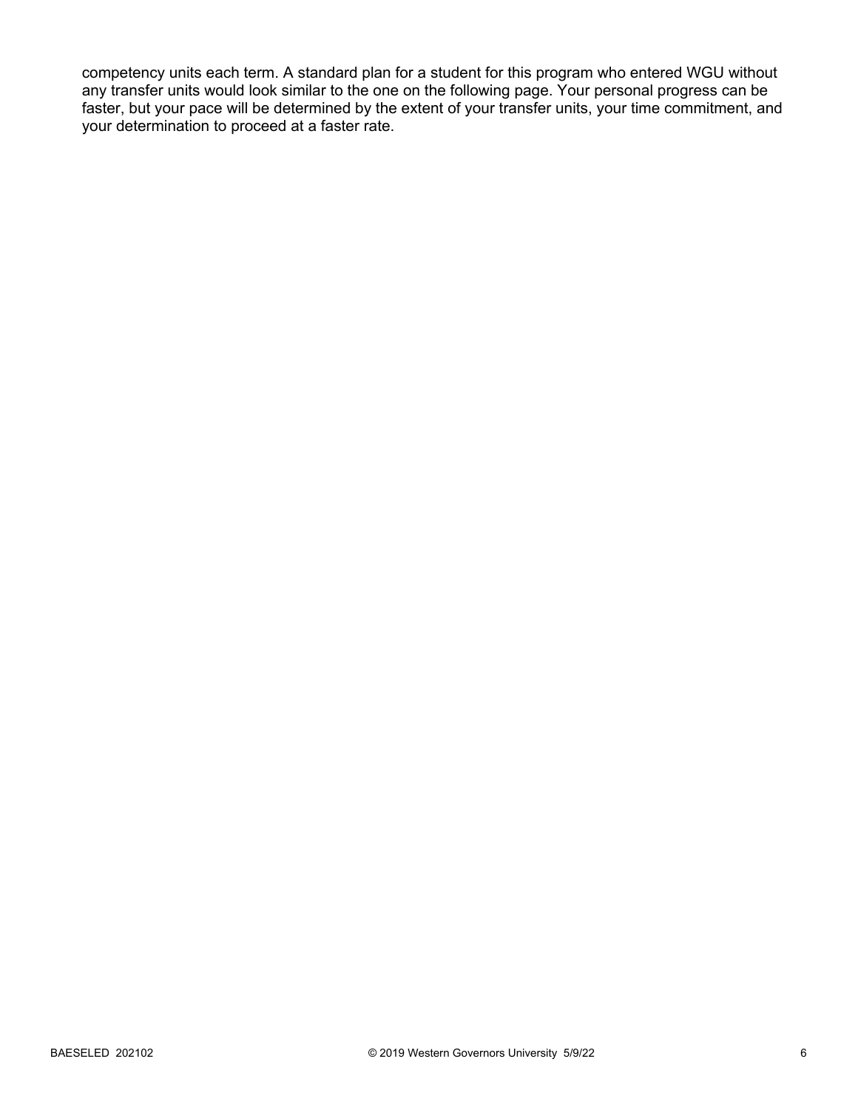competency units each term. A standard plan for a student for this program who entered WGU without any transfer units would look similar to the one on the following page. Your personal progress can be faster, but your pace will be determined by the extent of your transfer units, your time commitment, and your determination to proceed at a faster rate.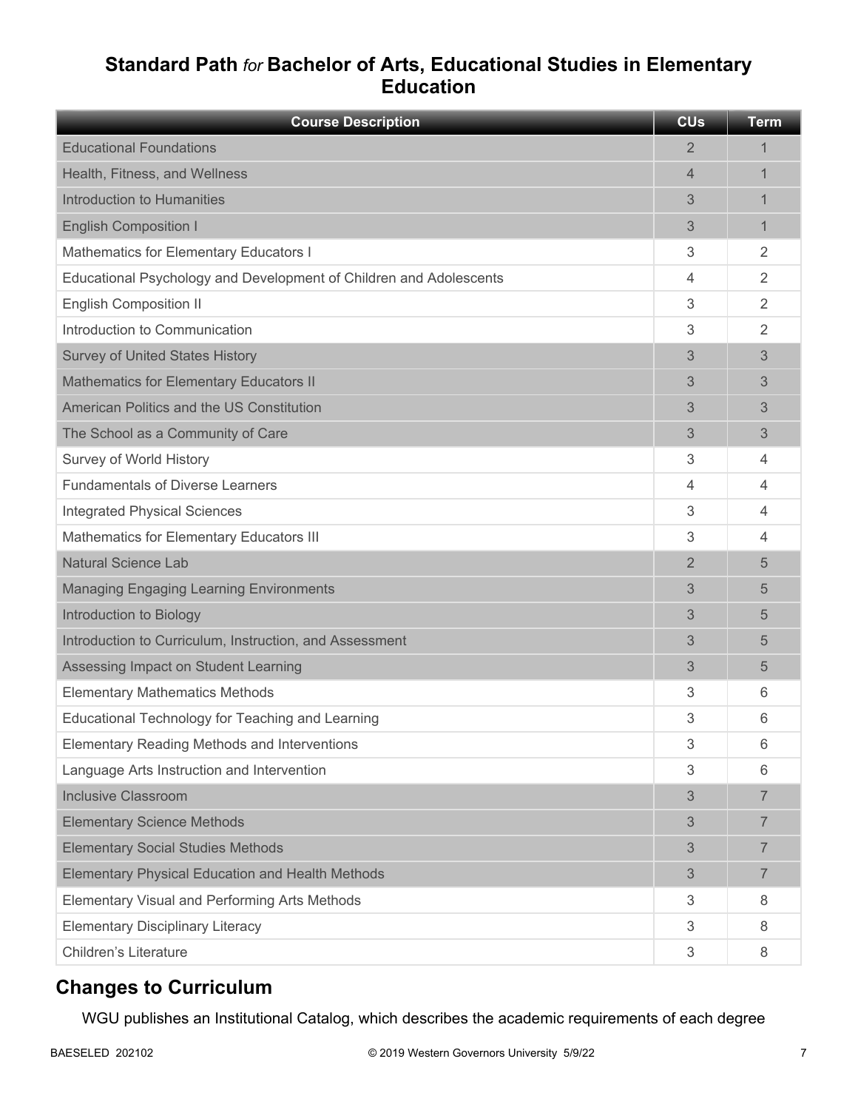## **Standard Path** *for* **Bachelor of Arts, Educational Studies in Elementary Education**

| <b>Course Description</b>                                          | <b>CU<sub>s</sub></b> | <b>Term</b>    |
|--------------------------------------------------------------------|-----------------------|----------------|
| <b>Educational Foundations</b>                                     | 2                     | 1              |
| Health, Fitness, and Wellness                                      | $\overline{4}$        | 1              |
| Introduction to Humanities                                         | 3                     | 1              |
| <b>English Composition I</b>                                       | 3                     | 1              |
| Mathematics for Elementary Educators I                             | 3                     | $\overline{2}$ |
| Educational Psychology and Development of Children and Adolescents | 4                     | $\overline{2}$ |
| <b>English Composition II</b>                                      | 3                     | $\overline{2}$ |
| Introduction to Communication                                      | 3                     | 2              |
| <b>Survey of United States History</b>                             | 3                     | 3              |
| <b>Mathematics for Elementary Educators II</b>                     | 3                     | 3              |
| American Politics and the US Constitution                          | 3                     | 3              |
| The School as a Community of Care                                  | 3                     | 3              |
| Survey of World History                                            | 3                     | 4              |
| <b>Fundamentals of Diverse Learners</b>                            | 4                     | $\overline{4}$ |
| <b>Integrated Physical Sciences</b>                                | 3                     | 4              |
| Mathematics for Elementary Educators III                           | 3                     | 4              |
| <b>Natural Science Lab</b>                                         | $\overline{2}$        | 5              |
| <b>Managing Engaging Learning Environments</b>                     | 3                     | 5              |
| Introduction to Biology                                            | 3                     | 5              |
| Introduction to Curriculum, Instruction, and Assessment            | 3                     | 5              |
| Assessing Impact on Student Learning                               | 3                     | 5              |
| <b>Elementary Mathematics Methods</b>                              | 3                     | 6              |
| Educational Technology for Teaching and Learning                   | 3                     | 6              |
| Elementary Reading Methods and Interventions                       | 3                     | 6              |
| Language Arts Instruction and Intervention                         | 3                     | 6              |
| <b>Inclusive Classroom</b>                                         | 3                     | $\overline{7}$ |
| <b>Elementary Science Methods</b>                                  | 3                     | 7              |
| <b>Elementary Social Studies Methods</b>                           | 3                     | $\overline{7}$ |
| <b>Elementary Physical Education and Health Methods</b>            | 3                     | $\overline{7}$ |
| Elementary Visual and Performing Arts Methods                      | 3                     | 8              |
| <b>Elementary Disciplinary Literacy</b>                            | 3                     | 8              |
| <b>Children's Literature</b>                                       | 3                     | 8              |

## **Changes to Curriculum**

WGU publishes an Institutional Catalog, which describes the academic requirements of each degree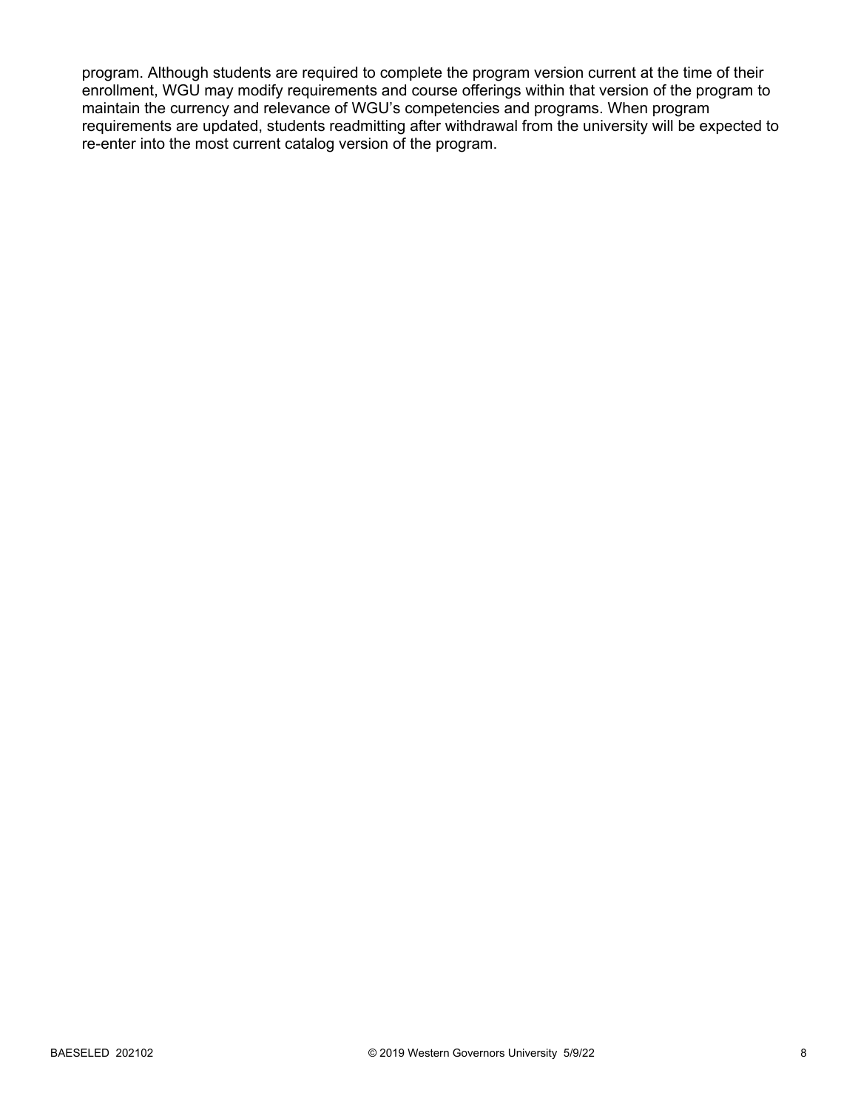program. Although students are required to complete the program version current at the time of their enrollment, WGU may modify requirements and course offerings within that version of the program to maintain the currency and relevance of WGU's competencies and programs. When program requirements are updated, students readmitting after withdrawal from the university will be expected to re-enter into the most current catalog version of the program.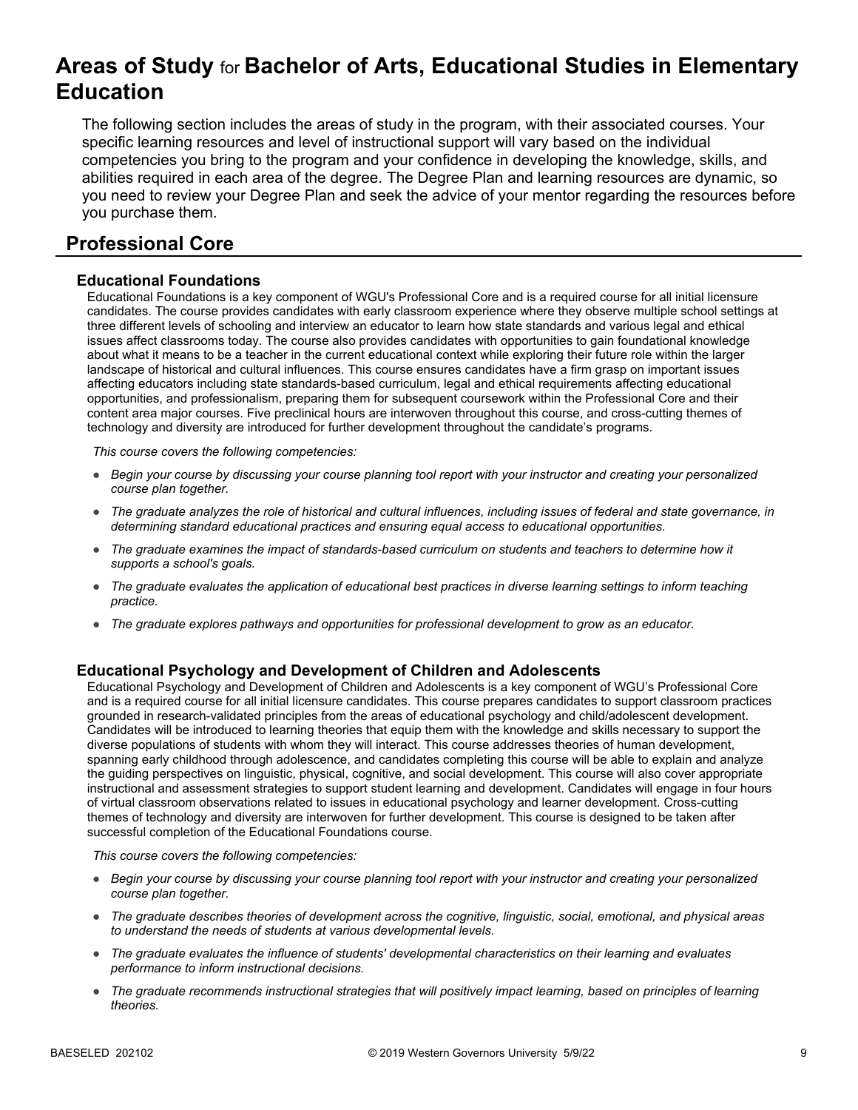# **Areas of Study** for **Bachelor of Arts, Educational Studies in Elementary Education**

The following section includes the areas of study in the program, with their associated courses. Your specific learning resources and level of instructional support will vary based on the individual competencies you bring to the program and your confidence in developing the knowledge, skills, and abilities required in each area of the degree. The Degree Plan and learning resources are dynamic, so you need to review your Degree Plan and seek the advice of your mentor regarding the resources before you purchase them.

## **Professional Core**

#### **Educational Foundations**

Educational Foundations is a key component of WGU's Professional Core and is a required course for all initial licensure candidates. The course provides candidates with early classroom experience where they observe multiple school settings at three different levels of schooling and interview an educator to learn how state standards and various legal and ethical issues affect classrooms today. The course also provides candidates with opportunities to gain foundational knowledge about what it means to be a teacher in the current educational context while exploring their future role within the larger landscape of historical and cultural influences. This course ensures candidates have a firm grasp on important issues affecting educators including state standards-based curriculum, legal and ethical requirements affecting educational opportunities, and professionalism, preparing them for subsequent coursework within the Professional Core and their content area major courses. Five preclinical hours are interwoven throughout this course, and cross-cutting themes of technology and diversity are introduced for further development throughout the candidate's programs.

*This course covers the following competencies:*

- *Begin your course by discussing your course planning tool report with your instructor and creating your personalized course plan together.*
- *The graduate analyzes the role of historical and cultural influences, including issues of federal and state governance, in determining standard educational practices and ensuring equal access to educational opportunities.*
- *The graduate examines the impact of standards-based curriculum on students and teachers to determine how it supports a school's goals.*
- *The graduate evaluates the application of educational best practices in diverse learning settings to inform teaching practice.*
- *The graduate explores pathways and opportunities for professional development to grow as an educator.*

#### **Educational Psychology and Development of Children and Adolescents**

Educational Psychology and Development of Children and Adolescents is a key component of WGU's Professional Core and is a required course for all initial licensure candidates. This course prepares candidates to support classroom practices grounded in research-validated principles from the areas of educational psychology and child/adolescent development. Candidates will be introduced to learning theories that equip them with the knowledge and skills necessary to support the diverse populations of students with whom they will interact. This course addresses theories of human development, spanning early childhood through adolescence, and candidates completing this course will be able to explain and analyze the guiding perspectives on linguistic, physical, cognitive, and social development. This course will also cover appropriate instructional and assessment strategies to support student learning and development. Candidates will engage in four hours of virtual classroom observations related to issues in educational psychology and learner development. Cross-cutting themes of technology and diversity are interwoven for further development. This course is designed to be taken after successful completion of the Educational Foundations course.

- *Begin your course by discussing your course planning tool report with your instructor and creating your personalized course plan together.*
- *The graduate describes theories of development across the cognitive, linguistic, social, emotional, and physical areas to understand the needs of students at various developmental levels.*
- *The graduate evaluates the influence of students' developmental characteristics on their learning and evaluates performance to inform instructional decisions.*
- *The graduate recommends instructional strategies that will positively impact learning, based on principles of learning theories.*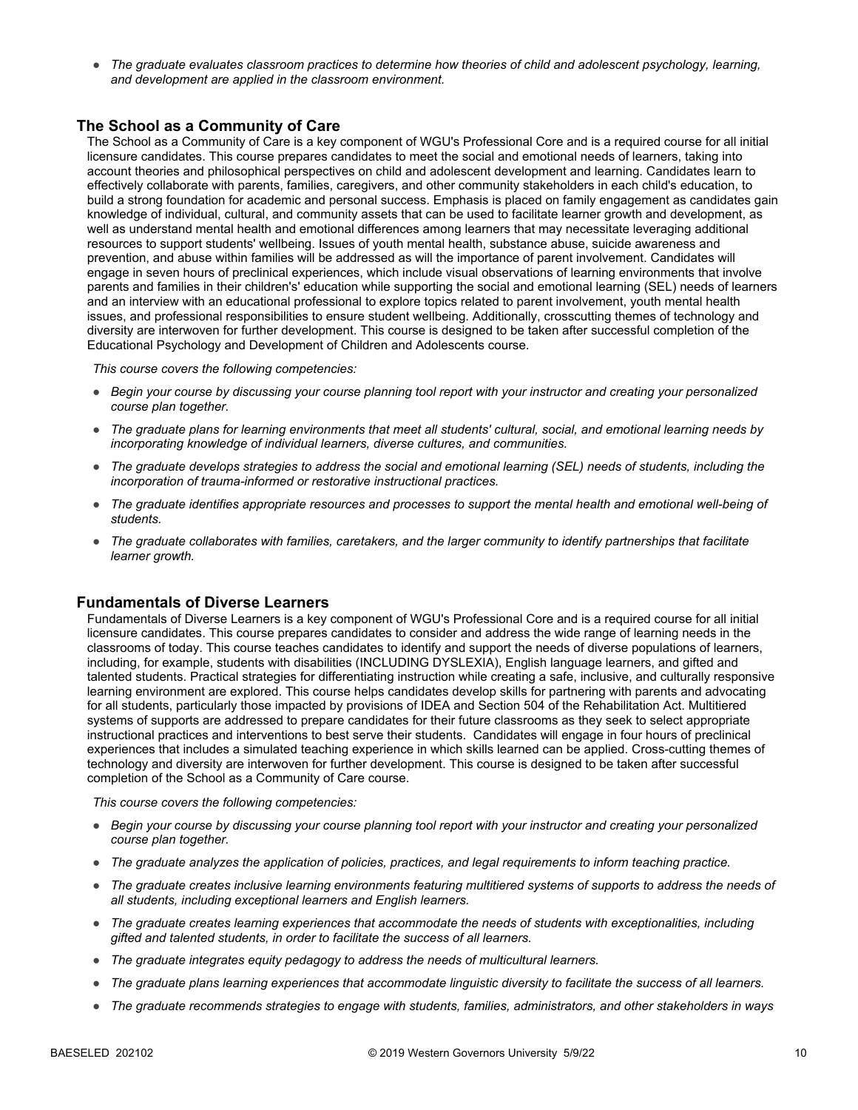● *The graduate evaluates classroom practices to determine how theories of child and adolescent psychology, learning, and development are applied in the classroom environment.*

#### **The School as a Community of Care**

The School as a Community of Care is a key component of WGU's Professional Core and is a required course for all initial licensure candidates. This course prepares candidates to meet the social and emotional needs of learners, taking into account theories and philosophical perspectives on child and adolescent development and learning. Candidates learn to effectively collaborate with parents, families, caregivers, and other community stakeholders in each child's education, to build a strong foundation for academic and personal success. Emphasis is placed on family engagement as candidates gain knowledge of individual, cultural, and community assets that can be used to facilitate learner growth and development, as well as understand mental health and emotional differences among learners that may necessitate leveraging additional resources to support students' wellbeing. Issues of youth mental health, substance abuse, suicide awareness and prevention, and abuse within families will be addressed as will the importance of parent involvement. Candidates will engage in seven hours of preclinical experiences, which include visual observations of learning environments that involve parents and families in their children's' education while supporting the social and emotional learning (SEL) needs of learners and an interview with an educational professional to explore topics related to parent involvement, youth mental health issues, and professional responsibilities to ensure student wellbeing. Additionally, crosscutting themes of technology and diversity are interwoven for further development. This course is designed to be taken after successful completion of the Educational Psychology and Development of Children and Adolescents course.

*This course covers the following competencies:*

- *Begin your course by discussing your course planning tool report with your instructor and creating your personalized course plan together.*
- *The graduate plans for learning environments that meet all students' cultural, social, and emotional learning needs by incorporating knowledge of individual learners, diverse cultures, and communities.*
- *The graduate develops strategies to address the social and emotional learning (SEL) needs of students, including the incorporation of trauma-informed or restorative instructional practices.*
- *The graduate identifies appropriate resources and processes to support the mental health and emotional well-being of students.*
- *The graduate collaborates with families, caretakers, and the larger community to identify partnerships that facilitate learner growth.*

#### **Fundamentals of Diverse Learners**

Fundamentals of Diverse Learners is a key component of WGU's Professional Core and is a required course for all initial licensure candidates. This course prepares candidates to consider and address the wide range of learning needs in the classrooms of today. This course teaches candidates to identify and support the needs of diverse populations of learners, including, for example, students with disabilities (INCLUDING DYSLEXIA), English language learners, and gifted and talented students. Practical strategies for differentiating instruction while creating a safe, inclusive, and culturally responsive learning environment are explored. This course helps candidates develop skills for partnering with parents and advocating for all students, particularly those impacted by provisions of IDEA and Section 504 of the Rehabilitation Act. Multitiered systems of supports are addressed to prepare candidates for their future classrooms as they seek to select appropriate instructional practices and interventions to best serve their students. Candidates will engage in four hours of preclinical experiences that includes a simulated teaching experience in which skills learned can be applied. Cross-cutting themes of technology and diversity are interwoven for further development. This course is designed to be taken after successful completion of the School as a Community of Care course.

- *Begin your course by discussing your course planning tool report with your instructor and creating your personalized course plan together.*
- *The graduate analyzes the application of policies, practices, and legal requirements to inform teaching practice.*
- *The graduate creates inclusive learning environments featuring multitiered systems of supports to address the needs of all students, including exceptional learners and English learners.*
- *The graduate creates learning experiences that accommodate the needs of students with exceptionalities, including gifted and talented students, in order to facilitate the success of all learners.*
- *The graduate integrates equity pedagogy to address the needs of multicultural learners.*
- *The graduate plans learning experiences that accommodate linguistic diversity to facilitate the success of all learners.*
- *The graduate recommends strategies to engage with students, families, administrators, and other stakeholders in ways*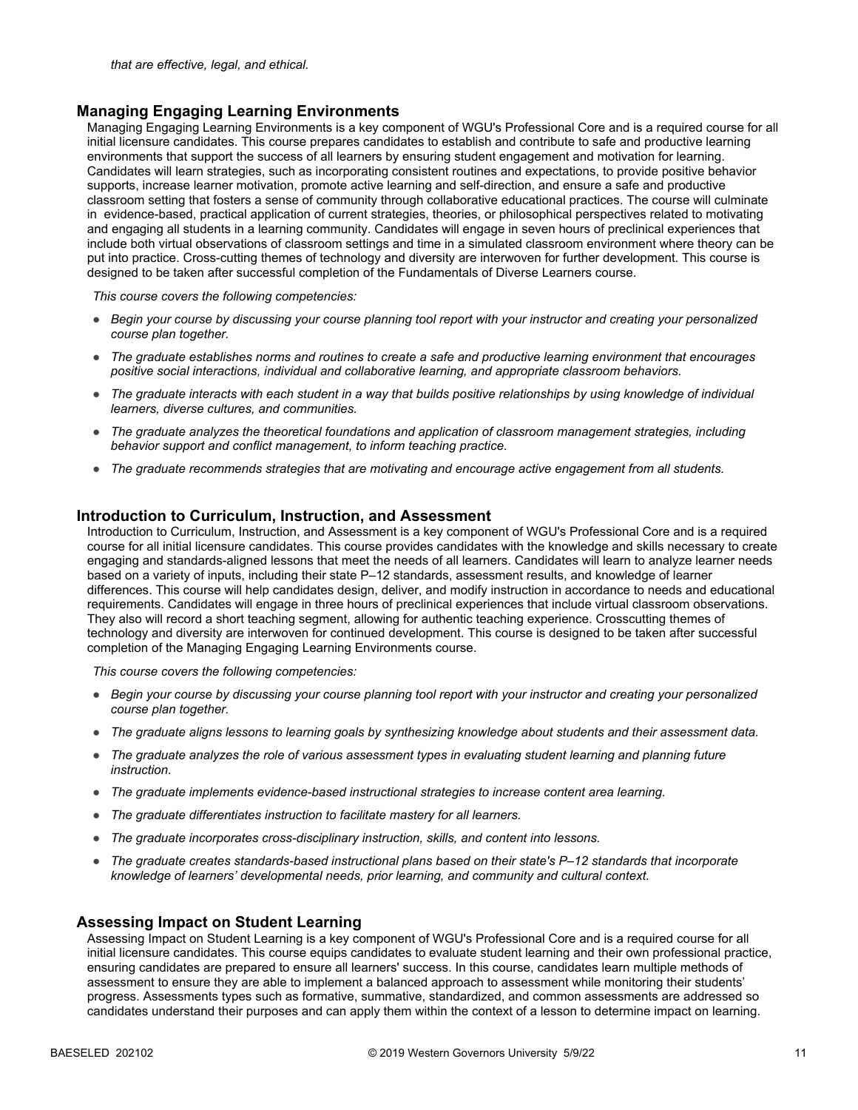#### **Managing Engaging Learning Environments**

Managing Engaging Learning Environments is a key component of WGU's Professional Core and is a required course for all initial licensure candidates. This course prepares candidates to establish and contribute to safe and productive learning environments that support the success of all learners by ensuring student engagement and motivation for learning. Candidates will learn strategies, such as incorporating consistent routines and expectations, to provide positive behavior supports, increase learner motivation, promote active learning and self-direction, and ensure a safe and productive classroom setting that fosters a sense of community through collaborative educational practices. The course will culminate in evidence-based, practical application of current strategies, theories, or philosophical perspectives related to motivating and engaging all students in a learning community. Candidates will engage in seven hours of preclinical experiences that include both virtual observations of classroom settings and time in a simulated classroom environment where theory can be put into practice. Cross-cutting themes of technology and diversity are interwoven for further development. This course is designed to be taken after successful completion of the Fundamentals of Diverse Learners course.

*This course covers the following competencies:*

- *Begin your course by discussing your course planning tool report with your instructor and creating your personalized course plan together.*
- *The graduate establishes norms and routines to create a safe and productive learning environment that encourages positive social interactions, individual and collaborative learning, and appropriate classroom behaviors.*
- *The graduate interacts with each student in a way that builds positive relationships by using knowledge of individual learners, diverse cultures, and communities.*
- *The graduate analyzes the theoretical foundations and application of classroom management strategies, including behavior support and conflict management, to inform teaching practice.*
- *The graduate recommends strategies that are motivating and encourage active engagement from all students.*

#### **Introduction to Curriculum, Instruction, and Assessment**

Introduction to Curriculum, Instruction, and Assessment is a key component of WGU's Professional Core and is a required course for all initial licensure candidates. This course provides candidates with the knowledge and skills necessary to create engaging and standards-aligned lessons that meet the needs of all learners. Candidates will learn to analyze learner needs based on a variety of inputs, including their state P–12 standards, assessment results, and knowledge of learner differences. This course will help candidates design, deliver, and modify instruction in accordance to needs and educational requirements. Candidates will engage in three hours of preclinical experiences that include virtual classroom observations. They also will record a short teaching segment, allowing for authentic teaching experience. Crosscutting themes of technology and diversity are interwoven for continued development. This course is designed to be taken after successful completion of the Managing Engaging Learning Environments course.

*This course covers the following competencies:*

- *Begin your course by discussing your course planning tool report with your instructor and creating your personalized course plan together.*
- *The graduate aligns lessons to learning goals by synthesizing knowledge about students and their assessment data.*
- *The graduate analyzes the role of various assessment types in evaluating student learning and planning future instruction.*
- *The graduate implements evidence-based instructional strategies to increase content area learning.*
- *The graduate differentiates instruction to facilitate mastery for all learners.*
- *The graduate incorporates cross-disciplinary instruction, skills, and content into lessons.*
- *The graduate creates standards-based instructional plans based on their state's P–12 standards that incorporate knowledge of learners' developmental needs, prior learning, and community and cultural context.*

#### **Assessing Impact on Student Learning**

Assessing Impact on Student Learning is a key component of WGU's Professional Core and is a required course for all initial licensure candidates. This course equips candidates to evaluate student learning and their own professional practice, ensuring candidates are prepared to ensure all learners' success. In this course, candidates learn multiple methods of assessment to ensure they are able to implement a balanced approach to assessment while monitoring their students' progress. Assessments types such as formative, summative, standardized, and common assessments are addressed so candidates understand their purposes and can apply them within the context of a lesson to determine impact on learning.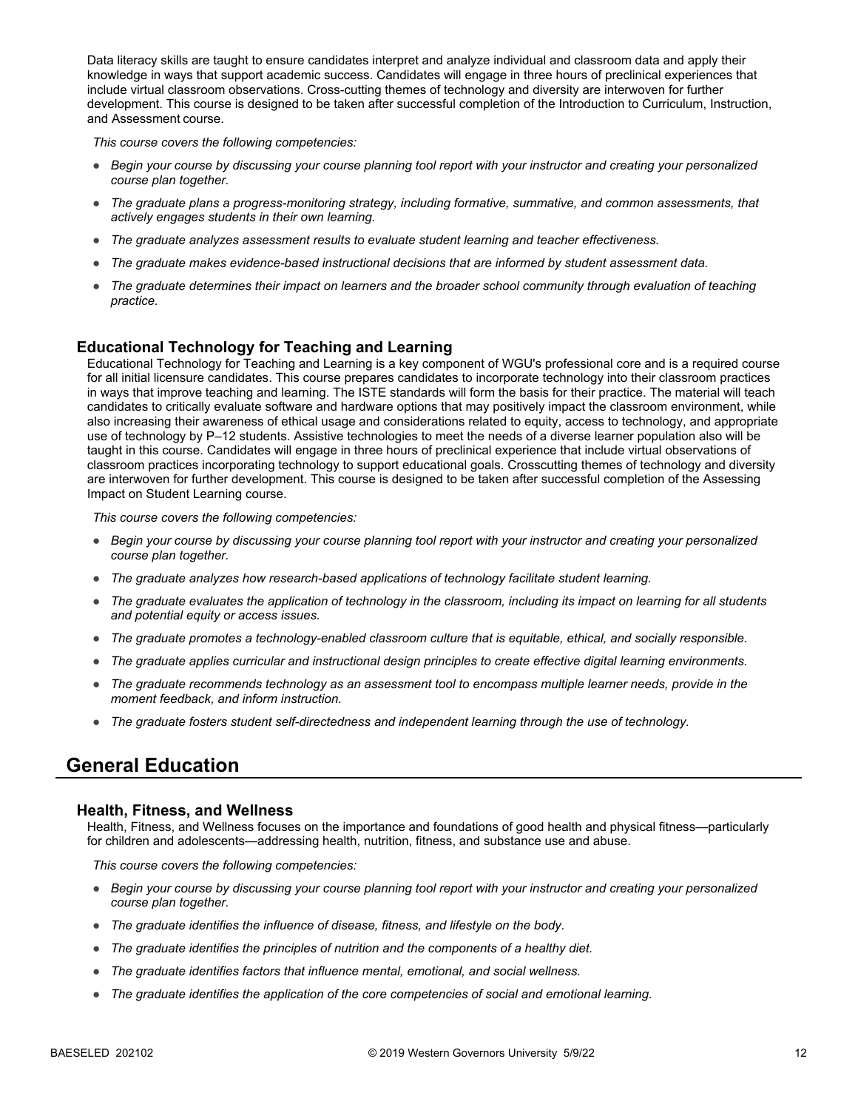Data literacy skills are taught to ensure candidates interpret and analyze individual and classroom data and apply their knowledge in ways that support academic success. Candidates will engage in three hours of preclinical experiences that include virtual classroom observations. Cross-cutting themes of technology and diversity are interwoven for further development. This course is designed to be taken after successful completion of the Introduction to Curriculum, Instruction, and Assessment course.

*This course covers the following competencies:*

- *Begin your course by discussing your course planning tool report with your instructor and creating your personalized course plan together.*
- *The graduate plans a progress-monitoring strategy, including formative, summative, and common assessments, that actively engages students in their own learning.*
- *The graduate analyzes assessment results to evaluate student learning and teacher effectiveness.*
- *The graduate makes evidence-based instructional decisions that are informed by student assessment data.*
- *The graduate determines their impact on learners and the broader school community through evaluation of teaching practice.*

#### **Educational Technology for Teaching and Learning**

Educational Technology for Teaching and Learning is a key component of WGU's professional core and is a required course for all initial licensure candidates. This course prepares candidates to incorporate technology into their classroom practices in ways that improve teaching and learning. The ISTE standards will form the basis for their practice. The material will teach candidates to critically evaluate software and hardware options that may positively impact the classroom environment, while also increasing their awareness of ethical usage and considerations related to equity, access to technology, and appropriate use of technology by P–12 students. Assistive technologies to meet the needs of a diverse learner population also will be taught in this course. Candidates will engage in three hours of preclinical experience that include virtual observations of classroom practices incorporating technology to support educational goals. Crosscutting themes of technology and diversity are interwoven for further development. This course is designed to be taken after successful completion of the Assessing Impact on Student Learning course.

*This course covers the following competencies:*

- *Begin your course by discussing your course planning tool report with your instructor and creating your personalized course plan together.*
- *The graduate analyzes how research-based applications of technology facilitate student learning.*
- *The graduate evaluates the application of technology in the classroom, including its impact on learning for all students and potential equity or access issues.*
- *The graduate promotes a technology-enabled classroom culture that is equitable, ethical, and socially responsible.*
- *The graduate applies curricular and instructional design principles to create effective digital learning environments.*
- *The graduate recommends technology as an assessment tool to encompass multiple learner needs, provide in the moment feedback, and inform instruction.*
- *The graduate fosters student self-directedness and independent learning through the use of technology.*

### **General Education**

#### **Health, Fitness, and Wellness**

Health, Fitness, and Wellness focuses on the importance and foundations of good health and physical fitness—particularly for children and adolescents—addressing health, nutrition, fitness, and substance use and abuse.

- *Begin your course by discussing your course planning tool report with your instructor and creating your personalized course plan together.*
- *The graduate identifies the influence of disease, fitness, and lifestyle on the body.*
- *The graduate identifies the principles of nutrition and the components of a healthy diet.*
- *The graduate identifies factors that influence mental, emotional, and social wellness.*
- *The graduate identifies the application of the core competencies of social and emotional learning.*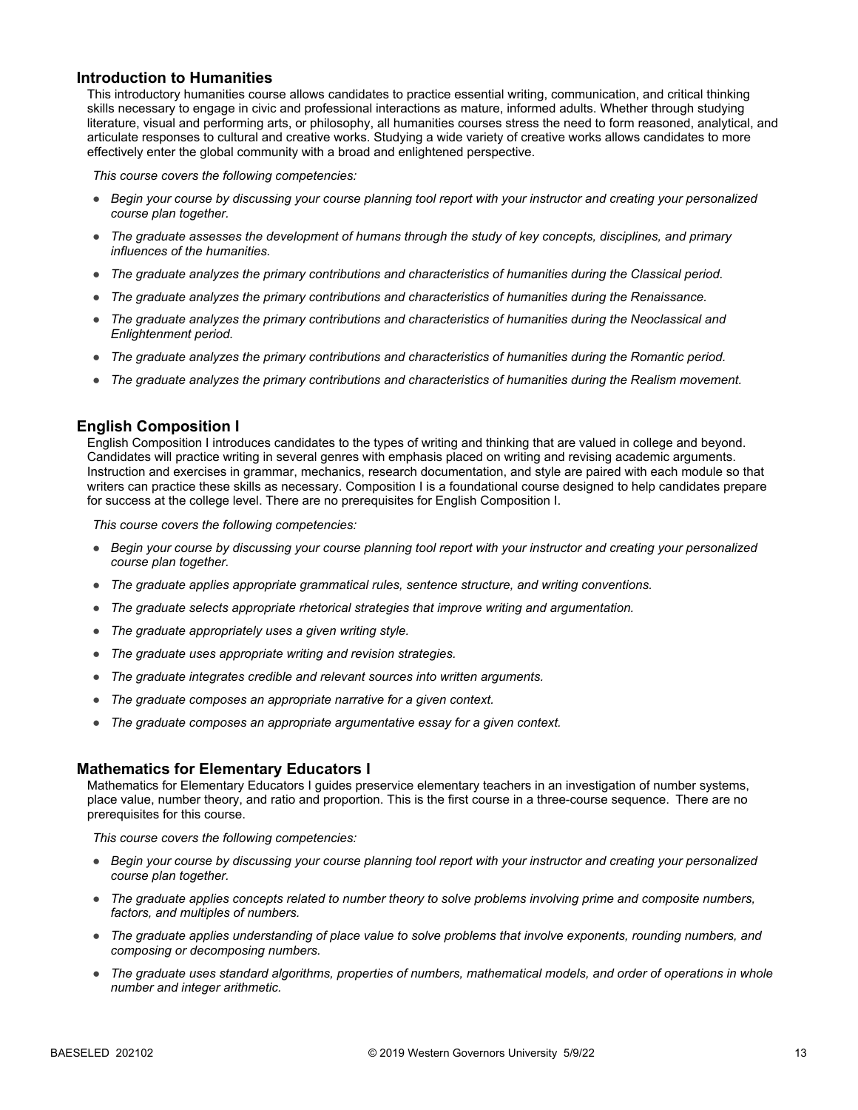#### **Introduction to Humanities**

This introductory humanities course allows candidates to practice essential writing, communication, and critical thinking skills necessary to engage in civic and professional interactions as mature, informed adults. Whether through studying literature, visual and performing arts, or philosophy, all humanities courses stress the need to form reasoned, analytical, and articulate responses to cultural and creative works. Studying a wide variety of creative works allows candidates to more effectively enter the global community with a broad and enlightened perspective.

*This course covers the following competencies:*

- *Begin your course by discussing your course planning tool report with your instructor and creating your personalized course plan together.*
- *The graduate assesses the development of humans through the study of key concepts, disciplines, and primary influences of the humanities.*
- *The graduate analyzes the primary contributions and characteristics of humanities during the Classical period.*
- *The graduate analyzes the primary contributions and characteristics of humanities during the Renaissance.*
- *The graduate analyzes the primary contributions and characteristics of humanities during the Neoclassical and Enlightenment period.*
- *The graduate analyzes the primary contributions and characteristics of humanities during the Romantic period.*
- *The graduate analyzes the primary contributions and characteristics of humanities during the Realism movement.*

#### **English Composition I**

English Composition I introduces candidates to the types of writing and thinking that are valued in college and beyond. Candidates will practice writing in several genres with emphasis placed on writing and revising academic arguments. Instruction and exercises in grammar, mechanics, research documentation, and style are paired with each module so that writers can practice these skills as necessary. Composition I is a foundational course designed to help candidates prepare for success at the college level. There are no prerequisites for English Composition I.

*This course covers the following competencies:*

- *Begin your course by discussing your course planning tool report with your instructor and creating your personalized course plan together.*
- *The graduate applies appropriate grammatical rules, sentence structure, and writing conventions.*
- *The graduate selects appropriate rhetorical strategies that improve writing and argumentation.*
- *The graduate appropriately uses a given writing style.*
- *The graduate uses appropriate writing and revision strategies.*
- *The graduate integrates credible and relevant sources into written arguments.*
- *The graduate composes an appropriate narrative for a given context.*
- *The graduate composes an appropriate argumentative essay for a given context.*

#### **Mathematics for Elementary Educators I**

Mathematics for Elementary Educators I guides preservice elementary teachers in an investigation of number systems, place value, number theory, and ratio and proportion. This is the first course in a three-course sequence. There are no prerequisites for this course.

- *Begin your course by discussing your course planning tool report with your instructor and creating your personalized course plan together.*
- *The graduate applies concepts related to number theory to solve problems involving prime and composite numbers, factors, and multiples of numbers.*
- *The graduate applies understanding of place value to solve problems that involve exponents, rounding numbers, and composing or decomposing numbers.*
- *The graduate uses standard algorithms, properties of numbers, mathematical models, and order of operations in whole number and integer arithmetic.*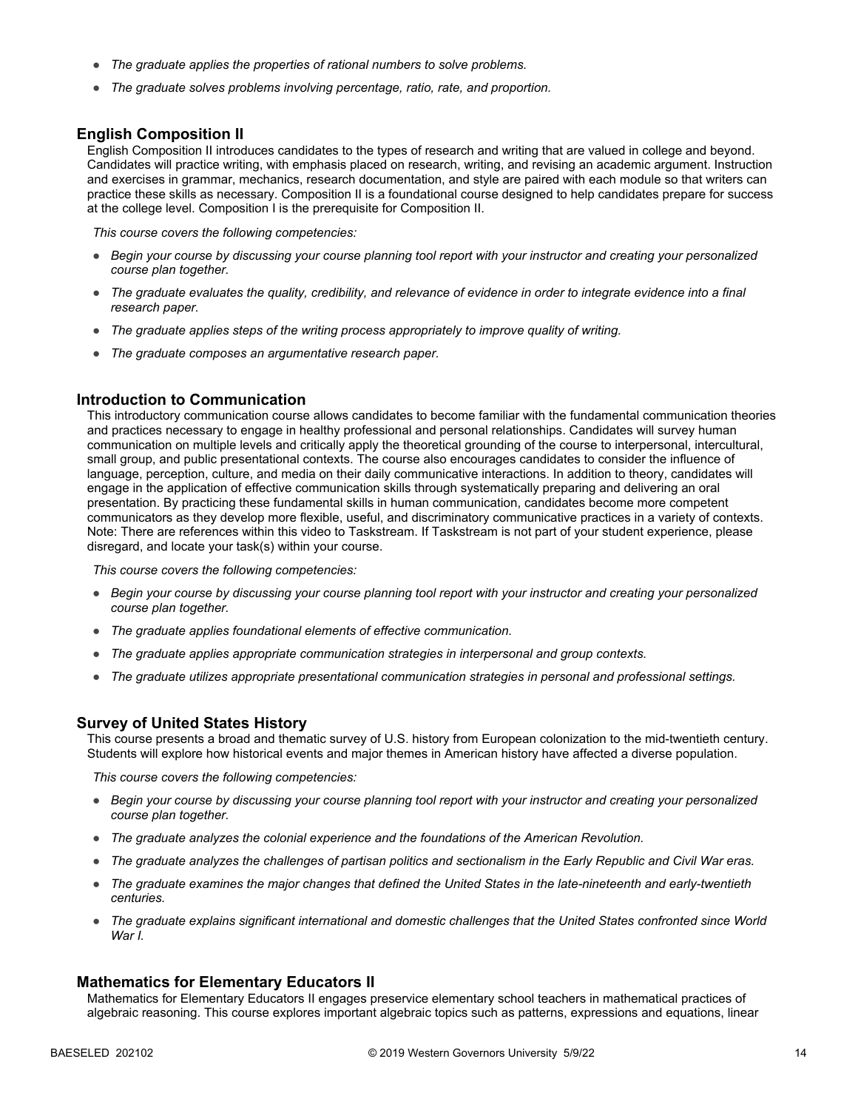- *The graduate applies the properties of rational numbers to solve problems.*
- *The graduate solves problems involving percentage, ratio, rate, and proportion.*

#### **English Composition II**

English Composition II introduces candidates to the types of research and writing that are valued in college and beyond. Candidates will practice writing, with emphasis placed on research, writing, and revising an academic argument. Instruction and exercises in grammar, mechanics, research documentation, and style are paired with each module so that writers can practice these skills as necessary. Composition II is a foundational course designed to help candidates prepare for success at the college level. Composition I is the prerequisite for Composition II.

*This course covers the following competencies:*

- *Begin your course by discussing your course planning tool report with your instructor and creating your personalized course plan together.*
- *The graduate evaluates the quality, credibility, and relevance of evidence in order to integrate evidence into a final research paper.*
- *The graduate applies steps of the writing process appropriately to improve quality of writing.*
- *The graduate composes an argumentative research paper.*

#### **Introduction to Communication**

This introductory communication course allows candidates to become familiar with the fundamental communication theories and practices necessary to engage in healthy professional and personal relationships. Candidates will survey human communication on multiple levels and critically apply the theoretical grounding of the course to interpersonal, intercultural, small group, and public presentational contexts. The course also encourages candidates to consider the influence of language, perception, culture, and media on their daily communicative interactions. In addition to theory, candidates will engage in the application of effective communication skills through systematically preparing and delivering an oral presentation. By practicing these fundamental skills in human communication, candidates become more competent communicators as they develop more flexible, useful, and discriminatory communicative practices in a variety of contexts. Note: There are references within this video to Taskstream. If Taskstream is not part of your student experience, please disregard, and locate your task(s) within your course.

*This course covers the following competencies:*

- *Begin your course by discussing your course planning tool report with your instructor and creating your personalized course plan together.*
- *The graduate applies foundational elements of effective communication.*
- *The graduate applies appropriate communication strategies in interpersonal and group contexts.*
- *The graduate utilizes appropriate presentational communication strategies in personal and professional settings.*

#### **Survey of United States History**

This course presents a broad and thematic survey of U.S. history from European colonization to the mid-twentieth century. Students will explore how historical events and major themes in American history have affected a diverse population.

*This course covers the following competencies:*

- *Begin your course by discussing your course planning tool report with your instructor and creating your personalized course plan together.*
- *The graduate analyzes the colonial experience and the foundations of the American Revolution.*
- *The graduate analyzes the challenges of partisan politics and sectionalism in the Early Republic and Civil War eras.*
- *The graduate examines the major changes that defined the United States in the late-nineteenth and early-twentieth centuries.*
- *The graduate explains significant international and domestic challenges that the United States confronted since World War I.*

#### **Mathematics for Elementary Educators II**

Mathematics for Elementary Educators II engages preservice elementary school teachers in mathematical practices of algebraic reasoning. This course explores important algebraic topics such as patterns, expressions and equations, linear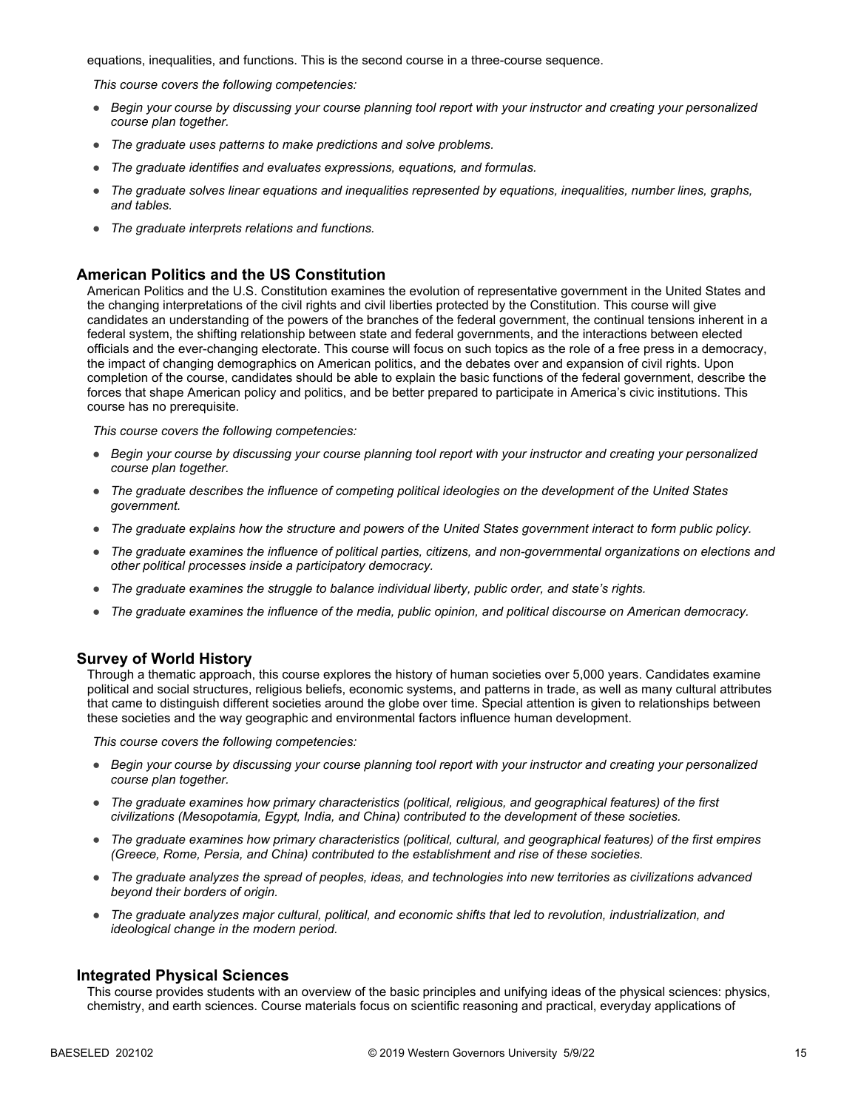equations, inequalities, and functions. This is the second course in a three-course sequence.

*This course covers the following competencies:*

- *Begin your course by discussing your course planning tool report with your instructor and creating your personalized course plan together.*
- *The graduate uses patterns to make predictions and solve problems.*
- *The graduate identifies and evaluates expressions, equations, and formulas.*
- *The graduate solves linear equations and inequalities represented by equations, inequalities, number lines, graphs, and tables.*
- *The graduate interprets relations and functions.*

#### **American Politics and the US Constitution**

American Politics and the U.S. Constitution examines the evolution of representative government in the United States and the changing interpretations of the civil rights and civil liberties protected by the Constitution. This course will give candidates an understanding of the powers of the branches of the federal government, the continual tensions inherent in a federal system, the shifting relationship between state and federal governments, and the interactions between elected officials and the ever-changing electorate. This course will focus on such topics as the role of a free press in a democracy, the impact of changing demographics on American politics, and the debates over and expansion of civil rights. Upon completion of the course, candidates should be able to explain the basic functions of the federal government, describe the forces that shape American policy and politics, and be better prepared to participate in America's civic institutions. This course has no prerequisite.

*This course covers the following competencies:*

- *Begin your course by discussing your course planning tool report with your instructor and creating your personalized course plan together.*
- *The graduate describes the influence of competing political ideologies on the development of the United States government.*
- *The graduate explains how the structure and powers of the United States government interact to form public policy.*
- *The graduate examines the influence of political parties, citizens, and non-governmental organizations on elections and other political processes inside a participatory democracy.*
- *The graduate examines the struggle to balance individual liberty, public order, and state's rights.*
- *The graduate examines the influence of the media, public opinion, and political discourse on American democracy.*

#### **Survey of World History**

Through a thematic approach, this course explores the history of human societies over 5,000 years. Candidates examine political and social structures, religious beliefs, economic systems, and patterns in trade, as well as many cultural attributes that came to distinguish different societies around the globe over time. Special attention is given to relationships between these societies and the way geographic and environmental factors influence human development.

*This course covers the following competencies:*

- *Begin your course by discussing your course planning tool report with your instructor and creating your personalized course plan together.*
- *The graduate examines how primary characteristics (political, religious, and geographical features) of the first civilizations (Mesopotamia, Egypt, India, and China) contributed to the development of these societies.*
- *The graduate examines how primary characteristics (political, cultural, and geographical features) of the first empires (Greece, Rome, Persia, and China) contributed to the establishment and rise of these societies.*
- *The graduate analyzes the spread of peoples, ideas, and technologies into new territories as civilizations advanced beyond their borders of origin.*
- *The graduate analyzes major cultural, political, and economic shifts that led to revolution, industrialization, and ideological change in the modern period.*

#### **Integrated Physical Sciences**

This course provides students with an overview of the basic principles and unifying ideas of the physical sciences: physics, chemistry, and earth sciences. Course materials focus on scientific reasoning and practical, everyday applications of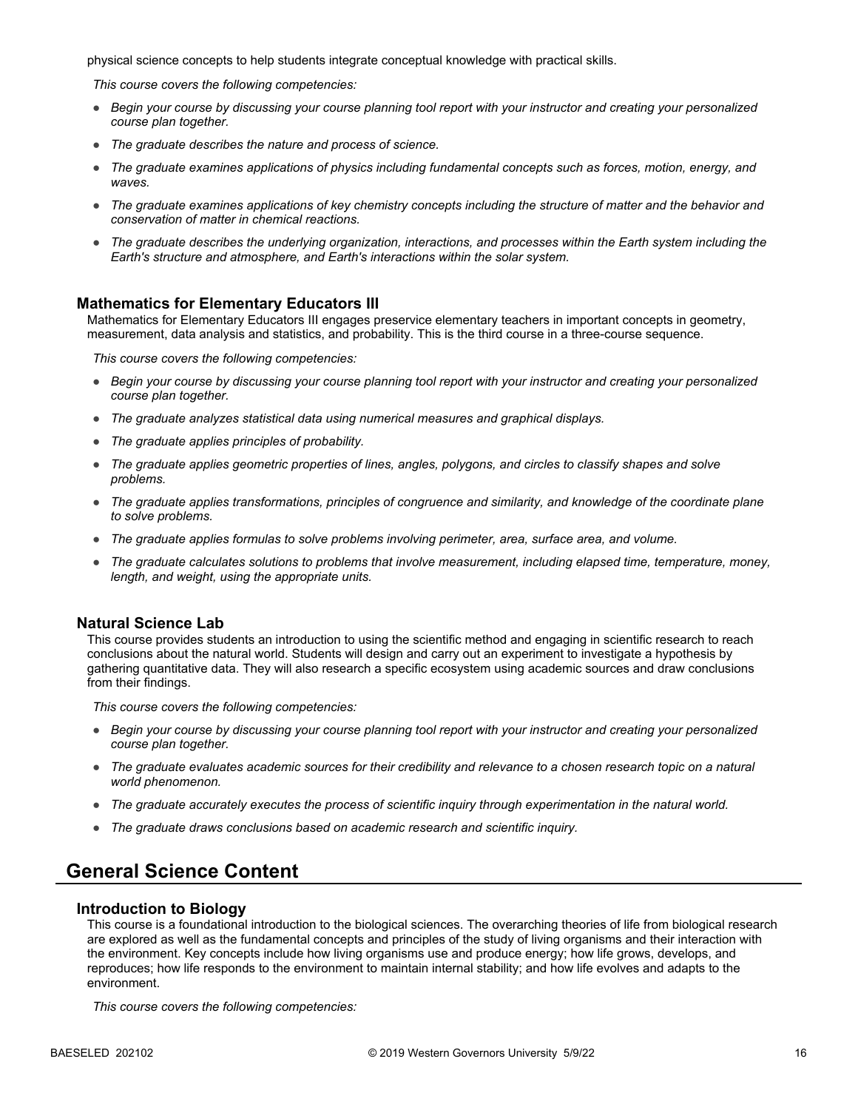physical science concepts to help students integrate conceptual knowledge with practical skills.

*This course covers the following competencies:*

- *Begin your course by discussing your course planning tool report with your instructor and creating your personalized course plan together.*
- *The graduate describes the nature and process of science.*
- *The graduate examines applications of physics including fundamental concepts such as forces, motion, energy, and waves.*
- *The graduate examines applications of key chemistry concepts including the structure of matter and the behavior and conservation of matter in chemical reactions.*
- *The graduate describes the underlying organization, interactions, and processes within the Earth system including the Earth's structure and atmosphere, and Earth's interactions within the solar system.*

#### **Mathematics for Elementary Educators III**

Mathematics for Elementary Educators III engages preservice elementary teachers in important concepts in geometry, measurement, data analysis and statistics, and probability. This is the third course in a three-course sequence.

*This course covers the following competencies:*

- *Begin your course by discussing your course planning tool report with your instructor and creating your personalized course plan together.*
- *The graduate analyzes statistical data using numerical measures and graphical displays.*
- *The graduate applies principles of probability.*
- *The graduate applies geometric properties of lines, angles, polygons, and circles to classify shapes and solve problems.*
- *The graduate applies transformations, principles of congruence and similarity, and knowledge of the coordinate plane to solve problems.*
- *The graduate applies formulas to solve problems involving perimeter, area, surface area, and volume.*
- *The graduate calculates solutions to problems that involve measurement, including elapsed time, temperature, money, length, and weight, using the appropriate units.*

#### **Natural Science Lab**

This course provides students an introduction to using the scientific method and engaging in scientific research to reach conclusions about the natural world. Students will design and carry out an experiment to investigate a hypothesis by gathering quantitative data. They will also research a specific ecosystem using academic sources and draw conclusions from their findings.

*This course covers the following competencies:*

- *Begin your course by discussing your course planning tool report with your instructor and creating your personalized course plan together.*
- *The graduate evaluates academic sources for their credibility and relevance to a chosen research topic on a natural world phenomenon.*
- *The graduate accurately executes the process of scientific inquiry through experimentation in the natural world.*
- *The graduate draws conclusions based on academic research and scientific inquiry.*

### **General Science Content**

#### **Introduction to Biology**

This course is a foundational introduction to the biological sciences. The overarching theories of life from biological research are explored as well as the fundamental concepts and principles of the study of living organisms and their interaction with the environment. Key concepts include how living organisms use and produce energy; how life grows, develops, and reproduces; how life responds to the environment to maintain internal stability; and how life evolves and adapts to the environment.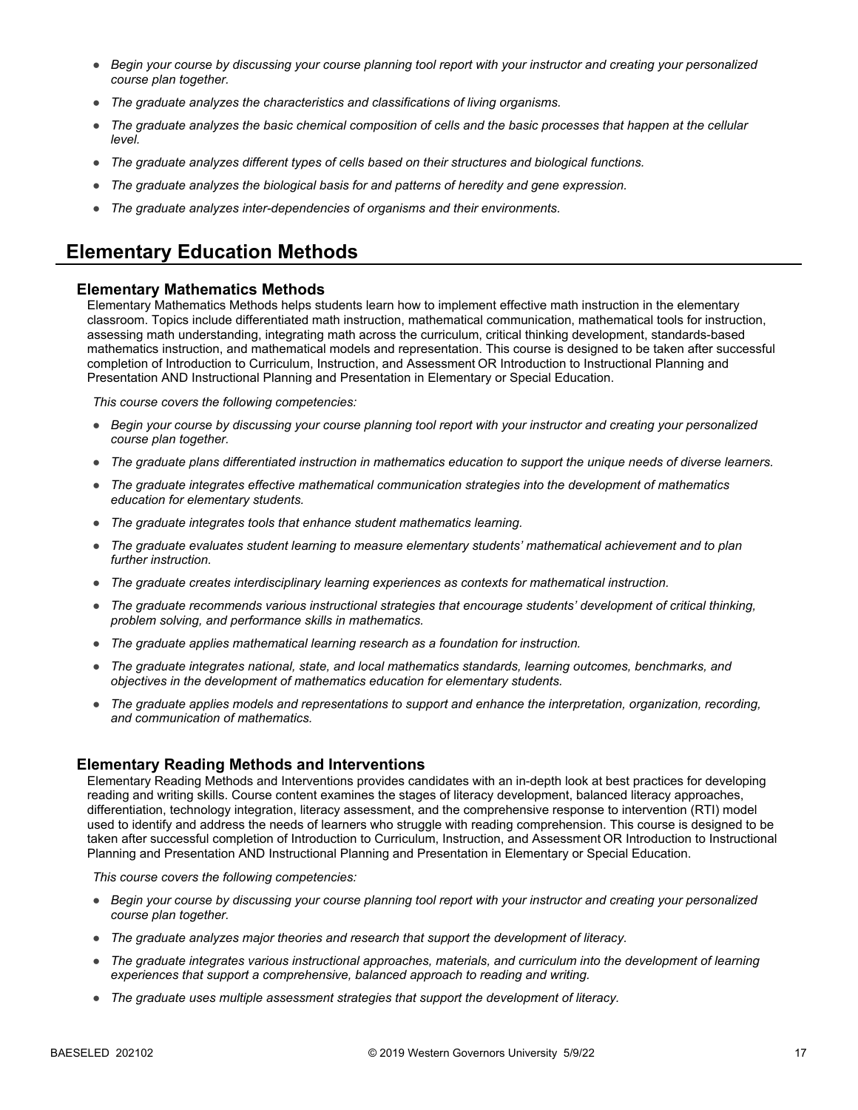- *Begin your course by discussing your course planning tool report with your instructor and creating your personalized course plan together.*
- *The graduate analyzes the characteristics and classifications of living organisms.*
- *The graduate analyzes the basic chemical composition of cells and the basic processes that happen at the cellular level.*
- *The graduate analyzes different types of cells based on their structures and biological functions.*
- *The graduate analyzes the biological basis for and patterns of heredity and gene expression.*
- *The graduate analyzes inter-dependencies of organisms and their environments.*

## **Elementary Education Methods**

#### **Elementary Mathematics Methods**

Elementary Mathematics Methods helps students learn how to implement effective math instruction in the elementary classroom. Topics include differentiated math instruction, mathematical communication, mathematical tools for instruction, assessing math understanding, integrating math across the curriculum, critical thinking development, standards-based mathematics instruction, and mathematical models and representation. This course is designed to be taken after successful completion of Introduction to Curriculum, Instruction, and Assessment OR Introduction to Instructional Planning and Presentation AND Instructional Planning and Presentation in Elementary or Special Education.

*This course covers the following competencies:*

- *Begin your course by discussing your course planning tool report with your instructor and creating your personalized course plan together.*
- *The graduate plans differentiated instruction in mathematics education to support the unique needs of diverse learners.*
- *The graduate integrates effective mathematical communication strategies into the development of mathematics education for elementary students.*
- *The graduate integrates tools that enhance student mathematics learning.*
- *The graduate evaluates student learning to measure elementary students' mathematical achievement and to plan further instruction.*
- *The graduate creates interdisciplinary learning experiences as contexts for mathematical instruction.*
- *The graduate recommends various instructional strategies that encourage students' development of critical thinking, problem solving, and performance skills in mathematics.*
- *The graduate applies mathematical learning research as a foundation for instruction.*
- *The graduate integrates national, state, and local mathematics standards, learning outcomes, benchmarks, and objectives in the development of mathematics education for elementary students.*
- *The graduate applies models and representations to support and enhance the interpretation, organization, recording, and communication of mathematics.*

#### **Elementary Reading Methods and Interventions**

Elementary Reading Methods and Interventions provides candidates with an in-depth look at best practices for developing reading and writing skills. Course content examines the stages of literacy development, balanced literacy approaches, differentiation, technology integration, literacy assessment, and the comprehensive response to intervention (RTI) model used to identify and address the needs of learners who struggle with reading comprehension. This course is designed to be taken after successful completion of Introduction to Curriculum, Instruction, and Assessment OR Introduction to Instructional Planning and Presentation AND Instructional Planning and Presentation in Elementary or Special Education.

- *Begin your course by discussing your course planning tool report with your instructor and creating your personalized course plan together.*
- *The graduate analyzes major theories and research that support the development of literacy.*
- *The graduate integrates various instructional approaches, materials, and curriculum into the development of learning experiences that support a comprehensive, balanced approach to reading and writing.*
- *The graduate uses multiple assessment strategies that support the development of literacy.*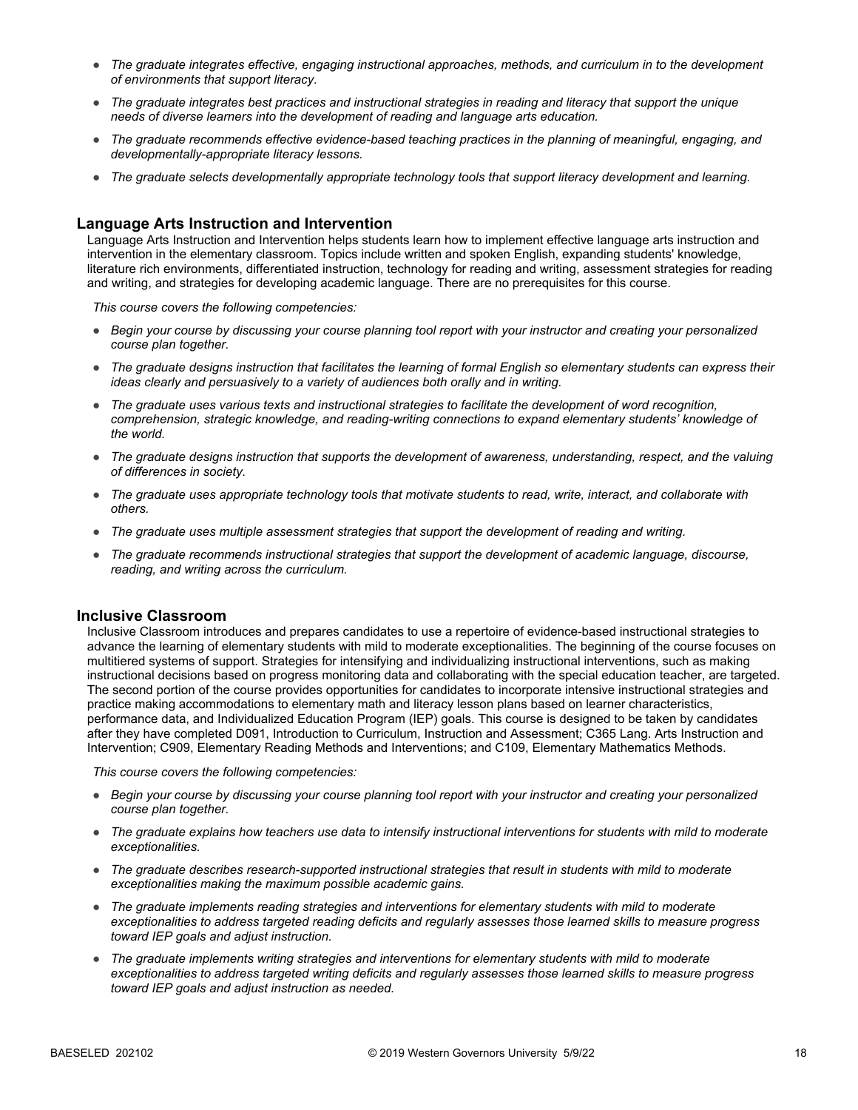- *The graduate integrates effective, engaging instructional approaches, methods, and curriculum in to the development of environments that support literacy.*
- *The graduate integrates best practices and instructional strategies in reading and literacy that support the unique needs of diverse learners into the development of reading and language arts education.*
- *The graduate recommends effective evidence-based teaching practices in the planning of meaningful, engaging, and developmentally-appropriate literacy lessons.*
- *The graduate selects developmentally appropriate technology tools that support literacy development and learning.*

#### **Language Arts Instruction and Intervention**

Language Arts Instruction and Intervention helps students learn how to implement effective language arts instruction and intervention in the elementary classroom. Topics include written and spoken English, expanding students' knowledge, literature rich environments, differentiated instruction, technology for reading and writing, assessment strategies for reading and writing, and strategies for developing academic language. There are no prerequisites for this course.

*This course covers the following competencies:*

- *Begin your course by discussing your course planning tool report with your instructor and creating your personalized course plan together.*
- *The graduate designs instruction that facilitates the learning of formal English so elementary students can express their ideas clearly and persuasively to a variety of audiences both orally and in writing.*
- *The graduate uses various texts and instructional strategies to facilitate the development of word recognition, comprehension, strategic knowledge, and reading-writing connections to expand elementary students' knowledge of the world.*
- *The graduate designs instruction that supports the development of awareness, understanding, respect, and the valuing of differences in society.*
- *The graduate uses appropriate technology tools that motivate students to read, write, interact, and collaborate with others.*
- *The graduate uses multiple assessment strategies that support the development of reading and writing.*
- *The graduate recommends instructional strategies that support the development of academic language, discourse, reading, and writing across the curriculum.*

#### **Inclusive Classroom**

Inclusive Classroom introduces and prepares candidates to use a repertoire of evidence-based instructional strategies to advance the learning of elementary students with mild to moderate exceptionalities. The beginning of the course focuses on multitiered systems of support. Strategies for intensifying and individualizing instructional interventions, such as making instructional decisions based on progress monitoring data and collaborating with the special education teacher, are targeted. The second portion of the course provides opportunities for candidates to incorporate intensive instructional strategies and practice making accommodations to elementary math and literacy lesson plans based on learner characteristics, performance data, and Individualized Education Program (IEP) goals. This course is designed to be taken by candidates after they have completed D091, Introduction to Curriculum, Instruction and Assessment; C365 Lang. Arts Instruction and Intervention; C909, Elementary Reading Methods and Interventions; and C109, Elementary Mathematics Methods.

- *Begin your course by discussing your course planning tool report with your instructor and creating your personalized course plan together.*
- *The graduate explains how teachers use data to intensify instructional interventions for students with mild to moderate exceptionalities.*
- *The graduate describes research-supported instructional strategies that result in students with mild to moderate exceptionalities making the maximum possible academic gains.*
- *The graduate implements reading strategies and interventions for elementary students with mild to moderate exceptionalities to address targeted reading deficits and regularly assesses those learned skills to measure progress toward IEP goals and adjust instruction.*
- *The graduate implements writing strategies and interventions for elementary students with mild to moderate exceptionalities to address targeted writing deficits and regularly assesses those learned skills to measure progress toward IEP goals and adjust instruction as needed.*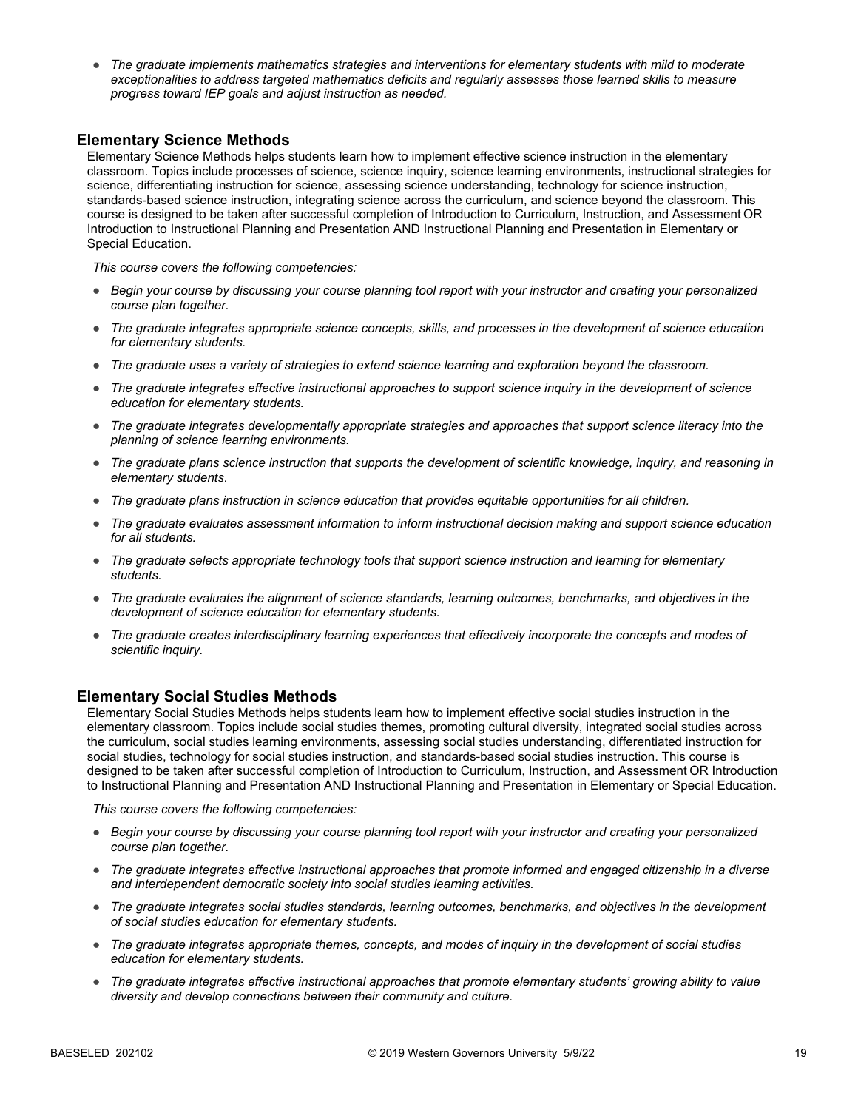● *The graduate implements mathematics strategies and interventions for elementary students with mild to moderate*  exceptionalities to address targeted mathematics deficits and regularly assesses those learned skills to measure *progress toward IEP goals and adjust instruction as needed.*

#### **Elementary Science Methods**

Elementary Science Methods helps students learn how to implement effective science instruction in the elementary classroom. Topics include processes of science, science inquiry, science learning environments, instructional strategies for science, differentiating instruction for science, assessing science understanding, technology for science instruction, standards-based science instruction, integrating science across the curriculum, and science beyond the classroom. This course is designed to be taken after successful completion of Introduction to Curriculum, Instruction, and Assessment OR Introduction to Instructional Planning and Presentation AND Instructional Planning and Presentation in Elementary or Special Education.

*This course covers the following competencies:*

- *Begin your course by discussing your course planning tool report with your instructor and creating your personalized course plan together.*
- *The graduate integrates appropriate science concepts, skills, and processes in the development of science education for elementary students.*
- *The graduate uses a variety of strategies to extend science learning and exploration beyond the classroom.*
- *The graduate integrates effective instructional approaches to support science inquiry in the development of science education for elementary students.*
- *The graduate integrates developmentally appropriate strategies and approaches that support science literacy into the planning of science learning environments.*
- *The graduate plans science instruction that supports the development of scientific knowledge, inquiry, and reasoning in elementary students.*
- *The graduate plans instruction in science education that provides equitable opportunities for all children.*
- *The graduate evaluates assessment information to inform instructional decision making and support science education for all students.*
- *The graduate selects appropriate technology tools that support science instruction and learning for elementary students.*
- *The graduate evaluates the alignment of science standards, learning outcomes, benchmarks, and objectives in the development of science education for elementary students.*
- *The graduate creates interdisciplinary learning experiences that effectively incorporate the concepts and modes of scientific inquiry.*

#### **Elementary Social Studies Methods**

Elementary Social Studies Methods helps students learn how to implement effective social studies instruction in the elementary classroom. Topics include social studies themes, promoting cultural diversity, integrated social studies across the curriculum, social studies learning environments, assessing social studies understanding, differentiated instruction for social studies, technology for social studies instruction, and standards-based social studies instruction. This course is designed to be taken after successful completion of Introduction to Curriculum, Instruction, and Assessment OR Introduction to Instructional Planning and Presentation AND Instructional Planning and Presentation in Elementary or Special Education.

- *Begin your course by discussing your course planning tool report with your instructor and creating your personalized course plan together.*
- *The graduate integrates effective instructional approaches that promote informed and engaged citizenship in a diverse and interdependent democratic society into social studies learning activities.*
- *The graduate integrates social studies standards, learning outcomes, benchmarks, and objectives in the development of social studies education for elementary students.*
- *The graduate integrates appropriate themes, concepts, and modes of inquiry in the development of social studies education for elementary students.*
- *The graduate integrates effective instructional approaches that promote elementary students' growing ability to value diversity and develop connections between their community and culture.*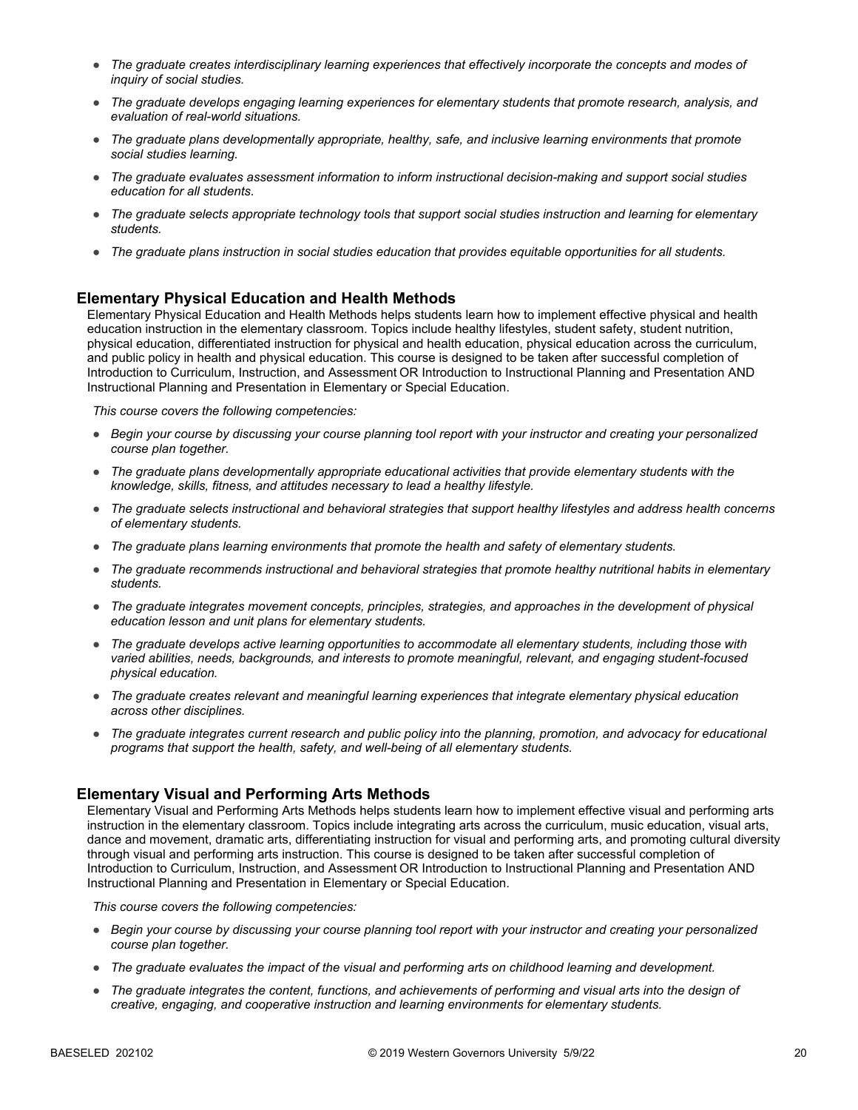- *The graduate creates interdisciplinary learning experiences that effectively incorporate the concepts and modes of inquiry of social studies.*
- *The graduate develops engaging learning experiences for elementary students that promote research, analysis, and evaluation of real-world situations.*
- *The graduate plans developmentally appropriate, healthy, safe, and inclusive learning environments that promote social studies learning.*
- *The graduate evaluates assessment information to inform instructional decision-making and support social studies education for all students.*
- *The graduate selects appropriate technology tools that support social studies instruction and learning for elementary students.*
- *The graduate plans instruction in social studies education that provides equitable opportunities for all students.*

#### **Elementary Physical Education and Health Methods**

Elementary Physical Education and Health Methods helps students learn how to implement effective physical and health education instruction in the elementary classroom. Topics include healthy lifestyles, student safety, student nutrition, physical education, differentiated instruction for physical and health education, physical education across the curriculum, and public policy in health and physical education. This course is designed to be taken after successful completion of Introduction to Curriculum, Instruction, and Assessment OR Introduction to Instructional Planning and Presentation AND Instructional Planning and Presentation in Elementary or Special Education.

*This course covers the following competencies:*

- *Begin your course by discussing your course planning tool report with your instructor and creating your personalized course plan together.*
- *The graduate plans developmentally appropriate educational activities that provide elementary students with the knowledge, skills, fitness, and attitudes necessary to lead a healthy lifestyle.*
- *The graduate selects instructional and behavioral strategies that support healthy lifestyles and address health concerns of elementary students.*
- *The graduate plans learning environments that promote the health and safety of elementary students.*
- *The graduate recommends instructional and behavioral strategies that promote healthy nutritional habits in elementary students.*
- *The graduate integrates movement concepts, principles, strategies, and approaches in the development of physical education lesson and unit plans for elementary students.*
- *The graduate develops active learning opportunities to accommodate all elementary students, including those with varied abilities, needs, backgrounds, and interests to promote meaningful, relevant, and engaging student-focused physical education.*
- *The graduate creates relevant and meaningful learning experiences that integrate elementary physical education across other disciplines.*
- *The graduate integrates current research and public policy into the planning, promotion, and advocacy for educational programs that support the health, safety, and well-being of all elementary students.*

#### **Elementary Visual and Performing Arts Methods**

Elementary Visual and Performing Arts Methods helps students learn how to implement effective visual and performing arts instruction in the elementary classroom. Topics include integrating arts across the curriculum, music education, visual arts, dance and movement, dramatic arts, differentiating instruction for visual and performing arts, and promoting cultural diversity through visual and performing arts instruction. This course is designed to be taken after successful completion of Introduction to Curriculum, Instruction, and Assessment OR Introduction to Instructional Planning and Presentation AND Instructional Planning and Presentation in Elementary or Special Education.

- *Begin your course by discussing your course planning tool report with your instructor and creating your personalized course plan together.*
- *The graduate evaluates the impact of the visual and performing arts on childhood learning and development.*
- *The graduate integrates the content, functions, and achievements of performing and visual arts into the design of creative, engaging, and cooperative instruction and learning environments for elementary students.*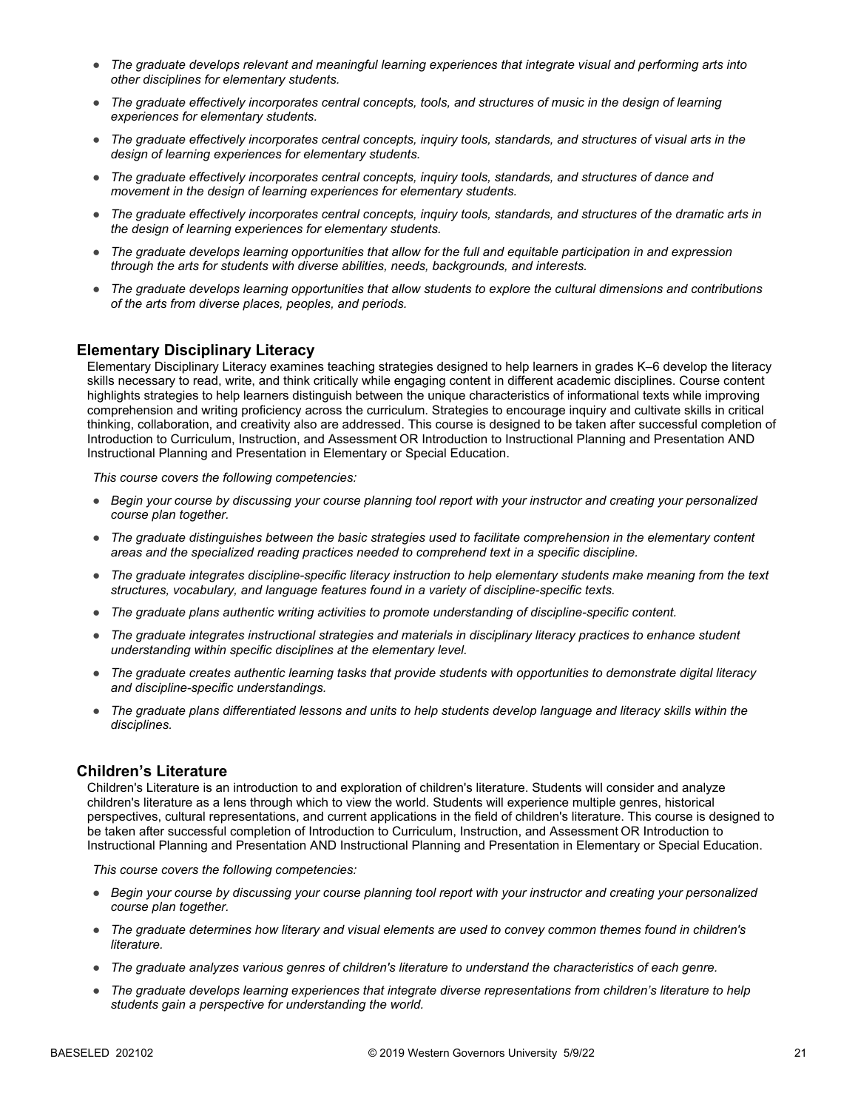- *The graduate develops relevant and meaningful learning experiences that integrate visual and performing arts into other disciplines for elementary students.*
- *The graduate effectively incorporates central concepts, tools, and structures of music in the design of learning experiences for elementary students.*
- *The graduate effectively incorporates central concepts, inquiry tools, standards, and structures of visual arts in the design of learning experiences for elementary students.*
- *The graduate effectively incorporates central concepts, inquiry tools, standards, and structures of dance and movement in the design of learning experiences for elementary students.*
- *The graduate effectively incorporates central concepts, inquiry tools, standards, and structures of the dramatic arts in the design of learning experiences for elementary students.*
- *The graduate develops learning opportunities that allow for the full and equitable participation in and expression through the arts for students with diverse abilities, needs, backgrounds, and interests.*
- *The graduate develops learning opportunities that allow students to explore the cultural dimensions and contributions of the arts from diverse places, peoples, and periods.*

#### **Elementary Disciplinary Literacy**

Elementary Disciplinary Literacy examines teaching strategies designed to help learners in grades K–6 develop the literacy skills necessary to read, write, and think critically while engaging content in different academic disciplines. Course content highlights strategies to help learners distinguish between the unique characteristics of informational texts while improving comprehension and writing proficiency across the curriculum. Strategies to encourage inquiry and cultivate skills in critical thinking, collaboration, and creativity also are addressed. This course is designed to be taken after successful completion of Introduction to Curriculum, Instruction, and Assessment OR Introduction to Instructional Planning and Presentation AND Instructional Planning and Presentation in Elementary or Special Education.

*This course covers the following competencies:*

- *Begin your course by discussing your course planning tool report with your instructor and creating your personalized course plan together.*
- *The graduate distinguishes between the basic strategies used to facilitate comprehension in the elementary content areas and the specialized reading practices needed to comprehend text in a specific discipline.*
- *The graduate integrates discipline-specific literacy instruction to help elementary students make meaning from the text structures, vocabulary, and language features found in a variety of discipline-specific texts.*
- *The graduate plans authentic writing activities to promote understanding of discipline-specific content.*
- *The graduate integrates instructional strategies and materials in disciplinary literacy practices to enhance student understanding within specific disciplines at the elementary level.*
- *The graduate creates authentic learning tasks that provide students with opportunities to demonstrate digital literacy and discipline-specific understandings.*
- *The graduate plans differentiated lessons and units to help students develop language and literacy skills within the disciplines.*

#### **Children's Literature**

Children's Literature is an introduction to and exploration of children's literature. Students will consider and analyze children's literature as a lens through which to view the world. Students will experience multiple genres, historical perspectives, cultural representations, and current applications in the field of children's literature. This course is designed to be taken after successful completion of Introduction to Curriculum, Instruction, and Assessment OR Introduction to Instructional Planning and Presentation AND Instructional Planning and Presentation in Elementary or Special Education.

- *Begin your course by discussing your course planning tool report with your instructor and creating your personalized course plan together.*
- *The graduate determines how literary and visual elements are used to convey common themes found in children's literature.*
- *The graduate analyzes various genres of children's literature to understand the characteristics of each genre.*
- *The graduate develops learning experiences that integrate diverse representations from children's literature to help students gain a perspective for understanding the world.*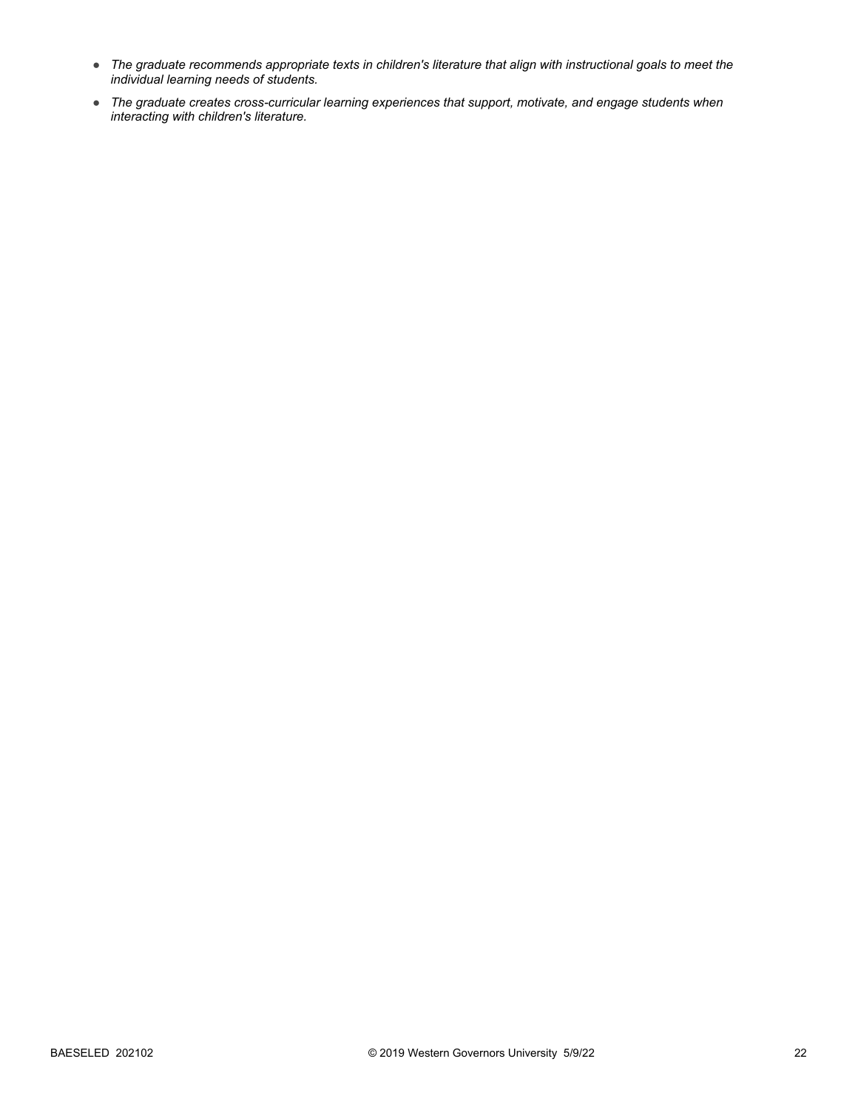- *The graduate recommends appropriate texts in children's literature that align with instructional goals to meet the individual learning needs of students.*
- *The graduate creates cross-curricular learning experiences that support, motivate, and engage students when interacting with children's literature.*